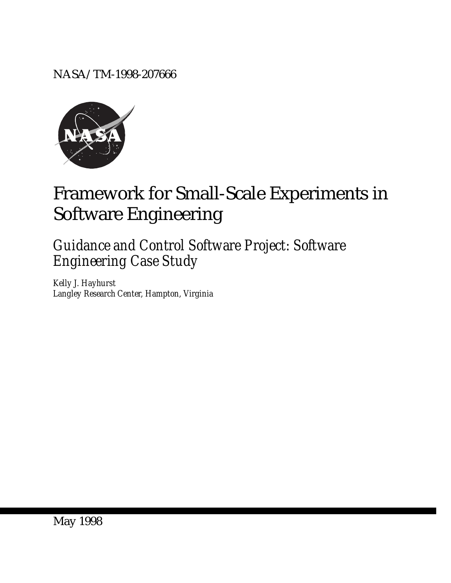NASA/TM-1998-207666



# Framework for Small-Scale Experiments in Software Engineering

# *Guidance and Control Software Project: Software Engineering Case Study*

*Kelly J. Hayhurst Langley Research Center, Hampton, Virginia*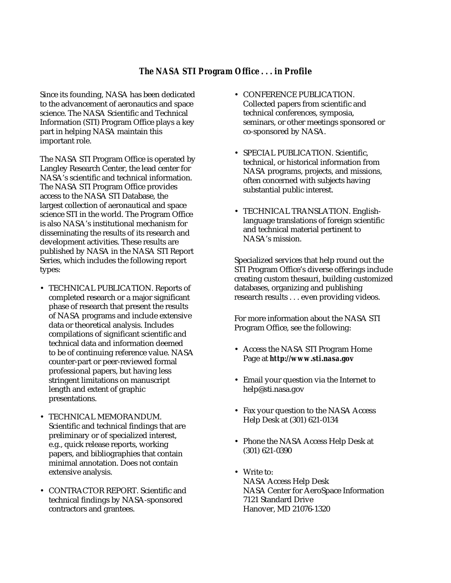### *The NASA STI Program Office . . . in Profile*

Since its founding, NASA has been dedicated to the advancement of aeronautics and space science. The NASA Scientific and Technical Information (STI) Program Office plays a key part in helping NASA maintain this important role.

The NASA STI Program Office is operated by Langley Research Center, the lead center for NASA's scientific and technical information. The NASA STI Program Office provides access to the NASA STI Database, the largest collection of aeronautical and space science STI in the world. The Program Office is also NASA's institutional mechanism for disseminating the results of its research and development activities. These results are published by NASA in the NASA STI Report Series, which includes the following report types:

- TECHNICAL PUBLICATION. Reports of completed research or a major significant phase of research that present the results of NASA programs and include extensive data or theoretical analysis. Includes compilations of significant scientific and technical data and information deemed to be of continuing reference value. NASA counter-part or peer-reviewed formal professional papers, but having less stringent limitations on manuscript length and extent of graphic presentations.
- TECHNICAL MEMORANDUM. Scientific and technical findings that are preliminary or of specialized interest, e.g., quick release reports, working papers, and bibliographies that contain minimal annotation. Does not contain extensive analysis.
- CONTRACTOR REPORT. Scientific and technical findings by NASA-sponsored contractors and grantees.
- CONFERENCE PUBLICATION. Collected papers from scientific and technical conferences, symposia, seminars, or other meetings sponsored or co-sponsored by NASA.
- SPECIAL PUBLICATION. Scientific, technical, or historical information from NASA programs, projects, and missions, often concerned with subjects having substantial public interest.
- TECHNICAL TRANSLATION. Englishlanguage translations of foreign scientific and technical material pertinent to NASA's mission.

Specialized services that help round out the STI Program Office's diverse offerings include creating custom thesauri, building customized databases, organizing and publishing research results . . . even providing videos.

For more information about the NASA STI Program Office, see the following:

- Access the NASA STI Program Home Page at *http://www.sti.nasa.gov*
- Email your question via the Internet to help@sti.nasa.gov
- Fax your question to the NASA Access Help Desk at (301) 621-0134
- Phone the NASA Access Help Desk at (301) 621-0390
- Write to: NASA Access Help Desk NASA Center for AeroSpace Information 7121 Standard Drive Hanover, MD 21076-1320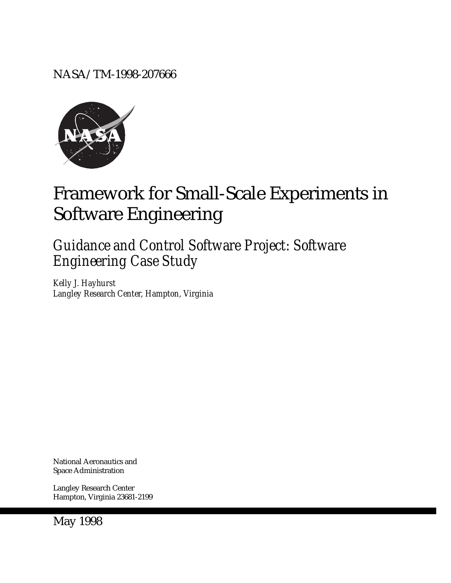NASA/TM-1998-207666



# Framework for Small-Scale Experiments in Software Engineering

# *Guidance and Control Software Project: Software Engineering Case Study*

*Kelly J. Hayhurst Langley Research Center, Hampton, Virginia*

National Aeronautics and Space Administration

Langley Research Center Hampton, Virginia 23681-2199

May 1998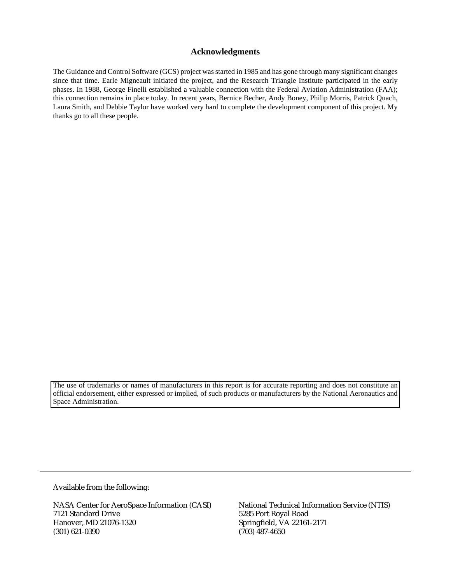#### **Acknowledgments**

The Guidance and Control Software (GCS) project was started in 1985 and has gone through many significant changes since that time. Earle Migneault initiated the project, and the Research Triangle Institute participated in the early phases. In 1988, George Finelli established a valuable connection with the Federal Aviation Administration (FAA); this connection remains in place today. In recent years, Bernice Becher, Andy Boney, Philip Morris, Patrick Quach, Laura Smith, and Debbie Taylor have worked very hard to complete the development component of this project. My thanks go to all these people.

The use of trademarks or names of manufacturers in this report is for accurate reporting and does not constitute an official endorsement, either expressed or implied, of such products or manufacturers by the National Aeronautics and Space Administration.

Available from the following:

NASA Center for AeroSpace Information (CASI) National Technical Information Service (NTIS)<br>7121 Standard Drive 5285 Port Royal Road Hanover, MD 21076-1320 Springfield, VA 22161-2171 (301) 621-0390 (703) 487-4650

5285 Port Royal Road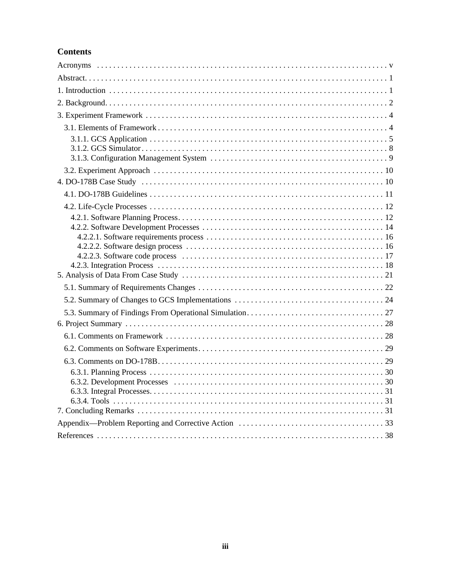# **Contents**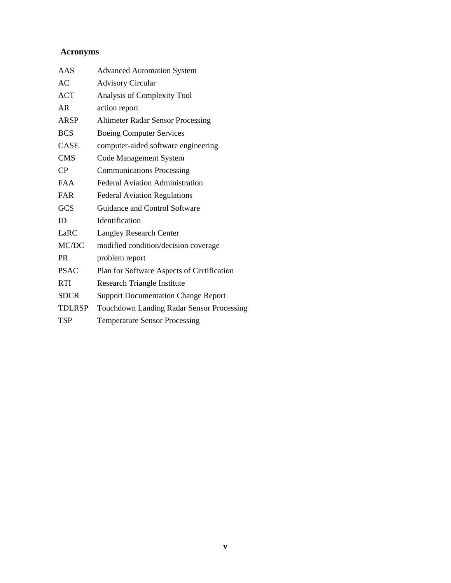# **Acronyms**

| AAS           | <b>Advanced Automation System</b>                |
|---------------|--------------------------------------------------|
| AC            | <b>Advisory Circular</b>                         |
| <b>ACT</b>    | Analysis of Complexity Tool                      |
| AR            | action report                                    |
| ARSP          | <b>Altimeter Radar Sensor Processing</b>         |
| <b>BCS</b>    | <b>Boeing Computer Services</b>                  |
| <b>CASE</b>   | computer-aided software engineering              |
| <b>CMS</b>    | Code Management System                           |
| CP            | <b>Communications Processing</b>                 |
| <b>FAA</b>    | <b>Federal Aviation Administration</b>           |
| <b>FAR</b>    | <b>Federal Aviation Regulations</b>              |
| <b>GCS</b>    | Guidance and Control Software                    |
| ID            | Identification                                   |
| LaRC          | <b>Langley Research Center</b>                   |
| MC/DC         | modified condition/decision coverage             |
| <b>PR</b>     | problem report                                   |
| <b>PSAC</b>   | Plan for Software Aspects of Certification       |
| <b>RTI</b>    | <b>Research Triangle Institute</b>               |
| <b>SDCR</b>   | <b>Support Documentation Change Report</b>       |
| <b>TDLRSP</b> | <b>Touchdown Landing Radar Sensor Processing</b> |
| TSP           | <b>Temperature Sensor Processing</b>             |
|               |                                                  |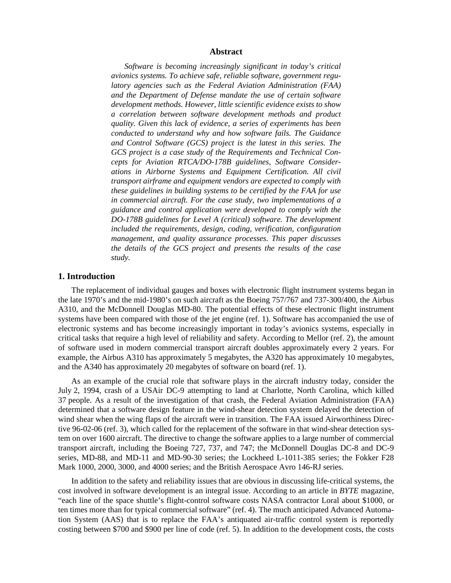#### **Abstract**

*Software is becoming increasingly significant in today's critical avionics systems. To achieve safe, reliable software, government regulatory agencies such as the Federal Aviation Administration (FAA) and the Department of Defense mandate the use of certain software development methods. However, little scientific evidence exists to show a correlation between software development methods and product quality. Given this lack of evidence, a series of experiments has been conducted to understand why and how software fails. The Guidance and Control Software (GCS) project is the latest in this series. The GCS project is a case study of the Requirements and Technical Concepts for Aviation RTCA/DO-178B guidelines, Software Considerations in Airborne Systems and Equipment Certification. All civil transport airframe and equipment vendors are expected to comply with these guidelines in building systems to be certified by the FAA for use in commercial aircraft. For the case study, two implementations of a guidance and control application were developed to comply with the DO-178B guidelines for Level A (critical) software. The development included the requirements, design, coding, verification, configuration management, and quality assurance processes. This paper discusses the details of the GCS project and presents the results of the case study.*

#### **1. Introduction**

The replacement of individual gauges and boxes with electronic flight instrument systems began in the late 1970's and the mid-1980's on such aircraft as the Boeing 757/767 and 737-300/400, the Airbus A310, and the McDonnell Douglas MD-80. The potential effects of these electronic flight instrument systems have been compared with those of the jet engine (ref. 1). Software has accompanied the use of electronic systems and has become increasingly important in today's avionics systems, especially in critical tasks that require a high level of reliability and safety. According to Mellor (ref. 2), the amount of software used in modern commercial transport aircraft doubles approximately every 2 years. For example, the Airbus A310 has approximately 5 megabytes, the A320 has approximately 10 megabytes, and the A340 has approximately 20 megabytes of software on board (ref. 1).

As an example of the crucial role that software plays in the aircraft industry today, consider the July 2, 1994, crash of a USAir DC-9 attempting to land at Charlotte, North Carolina, which killed 37 people. As a result of the investigation of that crash, the Federal Aviation Administration (FAA) determined that a software design feature in the wind-shear detection system delayed the detection of wind shear when the wing flaps of the aircraft were in transition. The FAA issued Airworthiness Directive 96-02-06 (ref. 3), which called for the replacement of the software in that wind-shear detection system on over 1600 aircraft. The directive to change the software applies to a large number of commercial transport aircraft, including the Boeing 727, 737, and 747; the McDonnell Douglas DC-8 and DC-9 series, MD-88, and MD-11 and MD-90-30 series; the Lockheed L-1011-385 series; the Fokker F28 Mark 1000, 2000, 3000, and 4000 series; and the British Aerospace Avro 146-RJ series.

In addition to the safety and reliability issues that are obvious in discussing life-critical systems, the cost involved in software development is an integral issue. According to an article in *BYTE* magazine, "each line of the space shuttle's flight-control software costs NASA contractor Loral about \$1000, or ten times more than for typical commercial software" (ref. 4). The much anticipated Advanced Automation System (AAS) that is to replace the FAA's antiquated air-traffic control system is reportedly costing between \$700 and \$900 per line of code (ref. 5). In addition to the development costs, the costs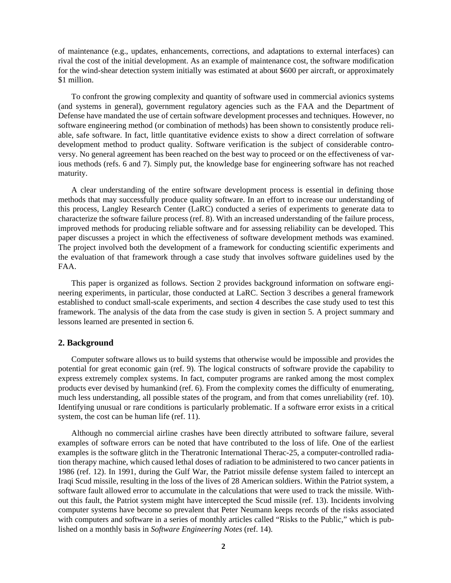of maintenance (e.g., updates, enhancements, corrections, and adaptations to external interfaces) can rival the cost of the initial development. As an example of maintenance cost, the software modification for the wind-shear detection system initially was estimated at about \$600 per aircraft, or approximately \$1 million.

To confront the growing complexity and quantity of software used in commercial avionics systems (and systems in general), government regulatory agencies such as the FAA and the Department of Defense have mandated the use of certain software development processes and techniques. However, no software engineering method (or combination of methods) has been shown to consistently produce reliable, safe software. In fact, little quantitative evidence exists to show a direct correlation of software development method to product quality. Software verification is the subject of considerable controversy. No general agreement has been reached on the best way to proceed or on the effectiveness of various methods (refs. 6 and 7). Simply put, the knowledge base for engineering software has not reached maturity.

A clear understanding of the entire software development process is essential in defining those methods that may successfully produce quality software. In an effort to increase our understanding of this process, Langley Research Center (LaRC) conducted a series of experiments to generate data to characterize the software failure process (ref. 8). With an increased understanding of the failure process, improved methods for producing reliable software and for assessing reliability can be developed. This paper discusses a project in which the effectiveness of software development methods was examined. The project involved both the development of a framework for conducting scientific experiments and the evaluation of that framework through a case study that involves software guidelines used by the FAA.

This paper is organized as follows. Section 2 provides background information on software engineering experiments, in particular, those conducted at LaRC. Section 3 describes a general framework established to conduct small-scale experiments, and section 4 describes the case study used to test this framework. The analysis of the data from the case study is given in section 5. A project summary and lessons learned are presented in section 6.

#### **2. Background**

Computer software allows us to build systems that otherwise would be impossible and provides the potential for great economic gain (ref. 9). The logical constructs of software provide the capability to express extremely complex systems. In fact, computer programs are ranked among the most complex products ever devised by humankind (ref. 6). From the complexity comes the difficulty of enumerating, much less understanding, all possible states of the program, and from that comes unreliability (ref. 10). Identifying unusual or rare conditions is particularly problematic. If a software error exists in a critical system, the cost can be human life (ref. 11).

Although no commercial airline crashes have been directly attributed to software failure, several examples of software errors can be noted that have contributed to the loss of life. One of the earliest examples is the software glitch in the Theratronic International Therac-25, a computer-controlled radiation therapy machine, which caused lethal doses of radiation to be administered to two cancer patients in 1986 (ref. 12). In 1991, during the Gulf War, the Patriot missile defense system failed to intercept an Iraqi Scud missile, resulting in the loss of the lives of 28 American soldiers. Within the Patriot system, a software fault allowed error to accumulate in the calculations that were used to track the missile. Without this fault, the Patriot system might have intercepted the Scud missile (ref. 13). Incidents involving computer systems have become so prevalent that Peter Neumann keeps records of the risks associated with computers and software in a series of monthly articles called "Risks to the Public," which is published on a monthly basis in *Software Engineering Notes* (ref. 14).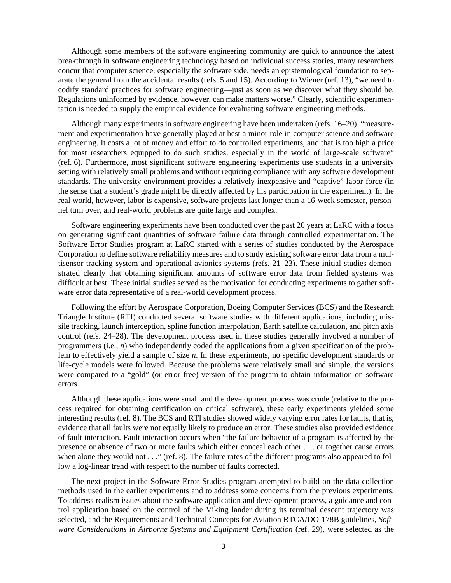Although some members of the software engineering community are quick to announce the latest breakthrough in software engineering technology based on individual success stories, many researchers concur that computer science, especially the software side, needs an epistemological foundation to separate the general from the accidental results (refs. 5 and 15). According to Wiener (ref. 13), "we need to codify standard practices for software engineering—just as soon as we discover what they should be. Regulations uninformed by evidence, however, can make matters worse." Clearly, scientific experimentation is needed to supply the empirical evidence for evaluating software engineering methods.

Although many experiments in software engineering have been undertaken (refs. 16–20), "measurement and experimentation have generally played at best a minor role in computer science and software engineering. It costs a lot of money and effort to do controlled experiments, and that is too high a price for most researchers equipped to do such studies, especially in the world of large-scale software" (ref. 6). Furthermore, most significant software engineering experiments use students in a university setting with relatively small problems and without requiring compliance with any software development standards. The university environment provides a relatively inexpensive and "captive" labor force (in the sense that a student's grade might be directly affected by his participation in the experiment). In the real world, however, labor is expensive, software projects last longer than a 16-week semester, personnel turn over, and real-world problems are quite large and complex.

Software engineering experiments have been conducted over the past 20 years at LaRC with a focus on generating significant quantities of software failure data through controlled experimentation. The Software Error Studies program at LaRC started with a series of studies conducted by the Aerospace Corporation to define software reliability measures and to study existing software error data from a multisensor tracking system and operational avionics systems (refs. 21–23). These initial studies demonstrated clearly that obtaining significant amounts of software error data from fielded systems was difficult at best. These initial studies served as the motivation for conducting experiments to gather software error data representative of a real-world development process.

Following the effort by Aerospace Corporation, Boeing Computer Services (BCS) and the Research Triangle Institute (RTI) conducted several software studies with different applications, including missile tracking, launch interception, spline function interpolation, Earth satellite calculation, and pitch axis control (refs. 24–28). The development process used in these studies generally involved a number of programmers (i.e., *n*) who independently coded the applications from a given specification of the problem to effectively yield a sample of size *n*. In these experiments, no specific development standards or life-cycle models were followed. Because the problems were relatively small and simple, the versions were compared to a "gold" (or error free) version of the program to obtain information on software errors.

Although these applications were small and the development process was crude (relative to the process required for obtaining certification on critical software), these early experiments yielded some interesting results (ref. 8). The BCS and RTI studies showed widely varying error rates for faults, that is, evidence that all faults were not equally likely to produce an error. These studies also provided evidence of fault interaction. Fault interaction occurs when "the failure behavior of a program is affected by the presence or absence of two or more faults which either conceal each other . . . or together cause errors when alone they would not . . ." (ref. 8). The failure rates of the different programs also appeared to follow a log-linear trend with respect to the number of faults corrected.

The next project in the Software Error Studies program attempted to build on the data-collection methods used in the earlier experiments and to address some concerns from the previous experiments. To address realism issues about the software application and development process, a guidance and control application based on the control of the Viking lander during its terminal descent trajectory was selected, and the Requirements and Technical Concepts for Aviation RTCA/DO-178B guidelines, *Software Considerations in Airborne Systems and Equipment Certification* (ref. 29), were selected as the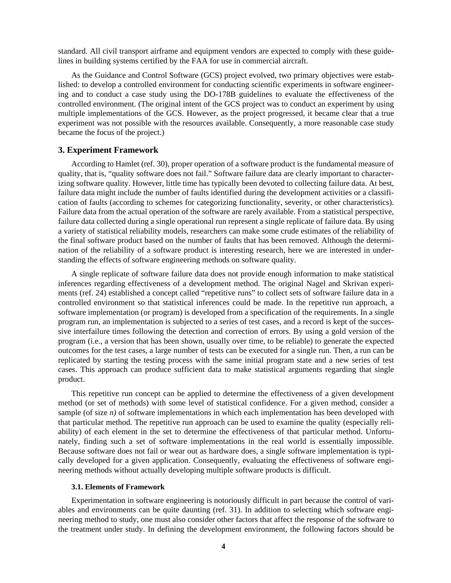standard. All civil transport airframe and equipment vendors are expected to comply with these guidelines in building systems certified by the FAA for use in commercial aircraft.

As the Guidance and Control Software (GCS) project evolved, two primary objectives were established: to develop a controlled environment for conducting scientific experiments in software engineering and to conduct a case study using the DO-178B guidelines to evaluate the effectiveness of the controlled environment. (The original intent of the GCS project was to conduct an experiment by using multiple implementations of the GCS. However, as the project progressed, it became clear that a true experiment was not possible with the resources available. Consequently, a more reasonable case study became the focus of the project.)

#### **3. Experiment Framework**

According to Hamlet (ref. 30), proper operation of a software product is the fundamental measure of quality, that is, "quality software does not fail." Software failure data are clearly important to characterizing software quality. However, little time has typically been devoted to collecting failure data. At best, failure data might include the number of faults identified during the development activities or a classification of faults (according to schemes for categorizing functionality, severity, or other characteristics). Failure data from the actual operation of the software are rarely available. From a statistical perspective, failure data collected during a single operational run represent a single replicate of failure data. By using a variety of statistical reliability models, researchers can make some crude estimates of the reliability of the final software product based on the number of faults that has been removed. Although the determination of the reliability of a software product is interesting research, here we are interested in understanding the effects of software engineering methods on software quality.

A single replicate of software failure data does not provide enough information to make statistical inferences regarding effectiveness of a development method. The original Nagel and Skrivan experiments (ref. 24) established a concept called "repetitive runs" to collect sets of software failure data in a controlled environment so that statistical inferences could be made. In the repetitive run approach, a software implementation (or program) is developed from a specification of the requirements. In a single program run, an implementation is subjected to a series of test cases, and a record is kept of the successive interfailure times following the detection and correction of errors. By using a gold version of the program (i.e., a version that has been shown, usually over time, to be reliable) to generate the expected outcomes for the test cases, a large number of tests can be executed for a single run. Then, a run can be replicated by starting the testing process with the same initial program state and a new series of test cases. This approach can produce sufficient data to make statistical arguments regarding that single product.

This repetitive run concept can be applied to determine the effectiveness of a given development method (or set of methods) with some level of statistical confidence. For a given method, consider a sample (of size *n*) of software implementations in which each implementation has been developed with that particular method. The repetitive run approach can be used to examine the quality (especially reliability) of each element in the set to determine the effectiveness of that particular method. Unfortunately, finding such a set of software implementations in the real world is essentially impossible. Because software does not fail or wear out as hardware does, a single software implementation is typically developed for a given application. Consequently, evaluating the effectiveness of software engineering methods without actually developing multiple software products is difficult.

#### **3.1. Elements of Framework**

Experimentation in software engineering is notoriously difficult in part because the control of variables and environments can be quite daunting (ref. 31). In addition to selecting which software engineering method to study, one must also consider other factors that affect the response of the software to the treatment under study. In defining the development environment, the following factors should be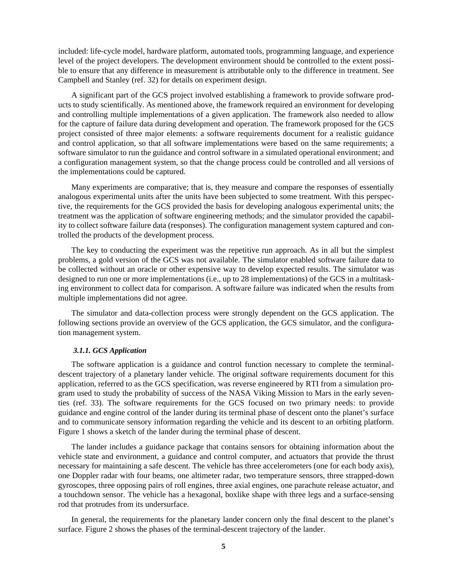included: life-cycle model, hardware platform, automated tools, programming language, and experience level of the project developers. The development environment should be controlled to the extent possible to ensure that any difference in measurement is attributable only to the difference in treatment. See Campbell and Stanley (ref. 32) for details on experiment design.

A significant part of the GCS project involved establishing a framework to provide software products to study scientifically. As mentioned above, the framework required an environment for developing and controlling multiple implementations of a given application. The framework also needed to allow for the capture of failure data during development and operation. The framework proposed for the GCS project consisted of three major elements: a software requirements document for a realistic guidance and control application, so that all software implementations were based on the same requirements; a software simulator to run the guidance and control software in a simulated operational environment; and a configuration management system, so that the change process could be controlled and all versions of the implementations could be captured.

Many experiments are comparative; that is, they measure and compare the responses of essentially analogous experimental units after the units have been subjected to some treatment. With this perspective, the requirements for the GCS provided the basis for developing analogous experimental units; the treatment was the application of software engineering methods; and the simulator provided the capability to collect software failure data (responses). The configuration management system captured and controlled the products of the development process.

The key to conducting the experiment was the repetitive run approach. As in all but the simplest problems, a gold version of the GCS was not available. The simulator enabled software failure data to be collected without an oracle or other expensive way to develop expected results. The simulator was designed to run one or more implementations (i.e., up to 28 implementations) of the GCS in a multitasking environment to collect data for comparison. A software failure was indicated when the results from multiple implementations did not agree.

The simulator and data-collection process were strongly dependent on the GCS application. The following sections provide an overview of the GCS application, the GCS simulator, and the configuration management system.

#### *3.1.1. GCS Application*

The software application is a guidance and control function necessary to complete the terminaldescent trajectory of a planetary lander vehicle. The original software requirements document for this application, referred to as the GCS specification, was reverse engineered by RTI from a simulation program used to study the probability of success of the NASA Viking Mission to Mars in the early seventies (ref. 33). The software requirements for the GCS focused on two primary needs: to provide guidance and engine control of the lander during its terminal phase of descent onto the planet's surface and to communicate sensory information regarding the vehicle and its descent to an orbiting platform. Figure 1 shows a sketch of the lander during the terminal phase of descent.

The lander includes a guidance package that contains sensors for obtaining information about the vehicle state and environment, a guidance and control computer, and actuators that provide the thrust necessary for maintaining a safe descent. The vehicle has three accelerometers (one for each body axis), one Doppler radar with four beams, one altimeter radar, two temperature sensors, three strapped-down gyroscopes, three opposing pairs of roll engines, three axial engines, one parachute release actuator, and a touchdown sensor. The vehicle has a hexagonal, boxlike shape with three legs and a surface-sensing rod that protrudes from its undersurface.

In general, the requirements for the planetary lander concern only the final descent to the planet's surface. Figure 2 shows the phases of the terminal-descent trajectory of the lander.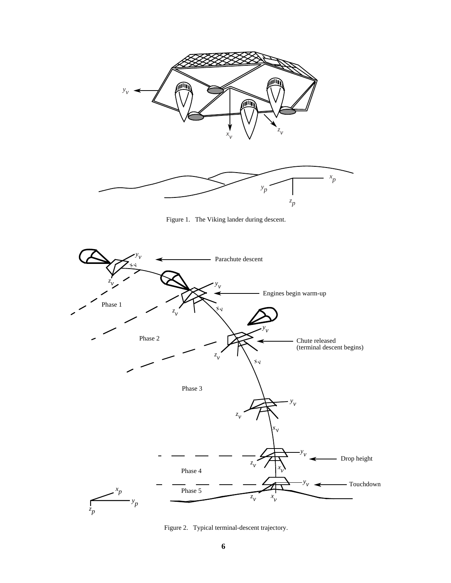

Figure 1. The Viking lander during descent.



Figure 2. Typical terminal-descent trajectory.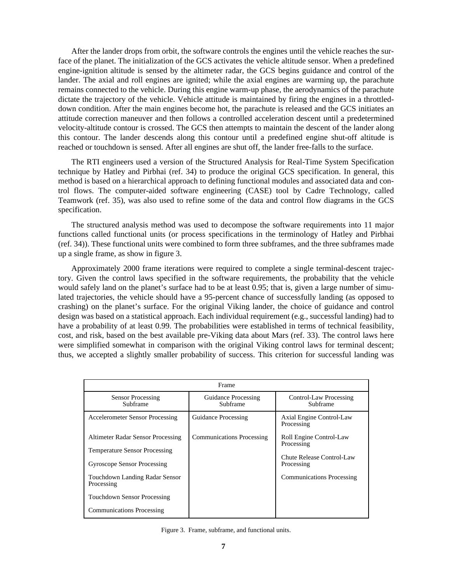After the lander drops from orbit, the software controls the engines until the vehicle reaches the surface of the planet. The initialization of the GCS activates the vehicle altitude sensor. When a predefined engine-ignition altitude is sensed by the altimeter radar, the GCS begins guidance and control of the lander. The axial and roll engines are ignited; while the axial engines are warming up, the parachute remains connected to the vehicle. During this engine warm-up phase, the aerodynamics of the parachute dictate the trajectory of the vehicle. Vehicle attitude is maintained by firing the engines in a throttleddown condition. After the main engines become hot, the parachute is released and the GCS initiates an attitude correction maneuver and then follows a controlled acceleration descent until a predetermined velocity-altitude contour is crossed. The GCS then attempts to maintain the descent of the lander along this contour. The lander descends along this contour until a predefined engine shut-off altitude is reached or touchdown is sensed. After all engines are shut off, the lander free-falls to the surface.

The RTI engineers used a version of the Structured Analysis for Real-Time System Specification technique by Hatley and Pirbhai (ref. 34) to produce the original GCS specification. In general, this method is based on a hierarchical approach to defining functional modules and associated data and control flows. The computer-aided software engineering (CASE) tool by Cadre Technology, called Teamwork (ref. 35)*,* was also used to refine some of the data and control flow diagrams in the GCS specification.

The structured analysis method was used to decompose the software requirements into 11 major functions called functional units (or process specifications in the terminology of Hatley and Pirbhai (ref. 34)). These functional units were combined to form three subframes, and the three subframes made up a single frame, as show in figure 3.

Approximately 2000 frame iterations were required to complete a single terminal-descent trajectory. Given the control laws specified in the software requirements, the probability that the vehicle would safely land on the planet's surface had to be at least 0.95; that is, given a large number of simulated trajectories, the vehicle should have a 95-percent chance of successfully landing (as opposed to crashing) on the planet's surface. For the original Viking lander, the choice of guidance and control design was based on a statistical approach. Each individual requirement (e.g., successful landing) had to have a probability of at least 0.99. The probabilities were established in terms of technical feasibility, cost, and risk, based on the best available pre-Viking data about Mars (ref. 33). The control laws here were simplified somewhat in comparison with the original Viking control laws for terminal descent; thus, we accepted a slightly smaller probability of success. This criterion for successful landing was

| Frame                                                                                                                                                                                          |                                  |                                                                                                                      |  |  |
|------------------------------------------------------------------------------------------------------------------------------------------------------------------------------------------------|----------------------------------|----------------------------------------------------------------------------------------------------------------------|--|--|
| <b>Sensor Processing</b><br>Subframe                                                                                                                                                           | Guidance Processing<br>Subframe  | Control-Law Processing<br>Subframe                                                                                   |  |  |
| Accelerometer Sensor Processing                                                                                                                                                                | Guidance Processing              | Axial Engine Control-Law<br>Processing                                                                               |  |  |
| Altimeter Radar Sensor Processing<br><b>Temperature Sensor Processing</b><br>Gyroscope Sensor Processing<br>Touchdown Landing Radar Sensor<br>Processing<br><b>Touchdown Sensor Processing</b> | <b>Communications Processing</b> | Roll Engine Control-Law<br>Processing<br>Chute Release Control-Law<br>Processing<br><b>Communications Processing</b> |  |  |
| <b>Communications Processing</b>                                                                                                                                                               |                                  |                                                                                                                      |  |  |

Figure 3. Frame, subframe, and functional units.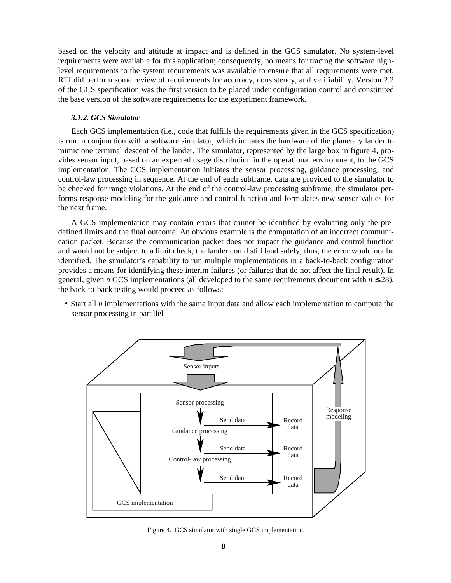based on the velocity and attitude at impact and is defined in the GCS simulator. No system-level requirements were available for this application; consequently, no means for tracing the software highlevel requirements to the system requirements was available to ensure that all requirements were met. RTI did perform some review of requirements for accuracy, consistency, and verifiability. Version 2.2 of the GCS specification was the first version to be placed under configuration control and constituted the base version of the software requirements for the experiment framework.

#### *3.1.2. GCS Simulator*

Each GCS implementation (i.e., code that fulfills the requirements given in the GCS specification) is run in conjunction with a software simulator, which imitates the hardware of the planetary lander to mimic one terminal descent of the lander. The simulator, represented by the large box in figure 4, provides sensor input, based on an expected usage distribution in the operational environment, to the GCS implementation. The GCS implementation initiates the sensor processing, guidance processing, and control-law processing in sequence. At the end of each subframe, data are provided to the simulator to be checked for range violations. At the end of the control-law processing subframe, the simulator performs response modeling for the guidance and control function and formulates new sensor values for the next frame.

A GCS implementation may contain errors that cannot be identified by evaluating only the predefined limits and the final outcome. An obvious example is the computation of an incorrect communication packet. Because the communication packet does not impact the guidance and control function and would not be subject to a limit check, the lander could still land safely; thus, the error would not be identified. The simulator's capability to run multiple implementations in a back-to-back configuration provides a means for identifying these interim failures (or failures that do not affect the final result). In general, given *n* GCS implementations (all developed to the same requirements document with  $n \le 28$ ), the back-to-back testing would proceed as follows:

• Start all *n* implementations with the same input data and allow each implementation to compute the sensor processing in parallel



Figure 4. GCS simulator with single GCS implementation.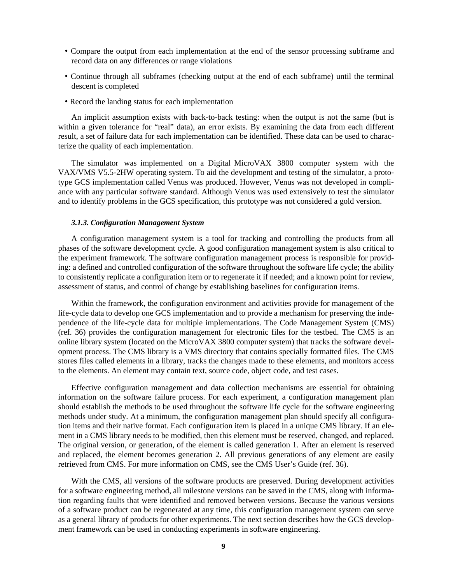- Compare the output from each implementation at the end of the sensor processing subframe and record data on any differences or range violations
- Continue through all subframes (checking output at the end of each subframe) until the terminal descent is completed
- Record the landing status for each implementation

An implicit assumption exists with back-to-back testing: when the output is not the same (but is within a given tolerance for "real" data), an error exists. By examining the data from each different result, a set of failure data for each implementation can be identified. These data can be used to characterize the quality of each implementation.

The simulator was implemented on a Digital MicroVAX 3800 computer system with the VAX/VMS V5.5-2HW operating system. To aid the development and testing of the simulator, a prototype GCS implementation called Venus was produced. However, Venus was not developed in compliance with any particular software standard. Although Venus was used extensively to test the simulator and to identify problems in the GCS specification, this prototype was not considered a gold version.

#### *3.1.3. Configuration Management System*

A configuration management system is a tool for tracking and controlling the products from all phases of the software development cycle. A good configuration management system is also critical to the experiment framework. The software configuration management process is responsible for providing: a defined and controlled configuration of the software throughout the software life cycle; the ability to consistently replicate a configuration item or to regenerate it if needed; and a known point for review, assessment of status, and control of change by establishing baselines for configuration items.

Within the framework, the configuration environment and activities provide for management of the life-cycle data to develop one GCS implementation and to provide a mechanism for preserving the independence of the life-cycle data for multiple implementations. The Code Management System (CMS) (ref. 36) provides the configuration management for electronic files for the testbed. The CMS is an online library system (located on the MicroVAX 3800 computer system) that tracks the software development process. The CMS library is a VMS directory that contains specially formatted files. The CMS stores files called elements in a library, tracks the changes made to these elements, and monitors access to the elements. An element may contain text, source code, object code, and test cases.

Effective configuration management and data collection mechanisms are essential for obtaining information on the software failure process. For each experiment, a configuration management plan should establish the methods to be used throughout the software life cycle for the software engineering methods under study. At a minimum, the configuration management plan should specify all configuration items and their native format. Each configuration item is placed in a unique CMS library. If an element in a CMS library needs to be modified, then this element must be reserved, changed, and replaced. The original version, or generation, of the element is called generation 1. After an element is reserved and replaced, the element becomes generation 2. All previous generations of any element are easily retrieved from CMS. For more information on CMS, see the CMS User's Guide (ref. 36).

With the CMS, all versions of the software products are preserved. During development activities for a software engineering method, all milestone versions can be saved in the CMS, along with information regarding faults that were identified and removed between versions. Because the various versions of a software product can be regenerated at any time, this configuration management system can serve as a general library of products for other experiments. The next section describes how the GCS development framework can be used in conducting experiments in software engineering.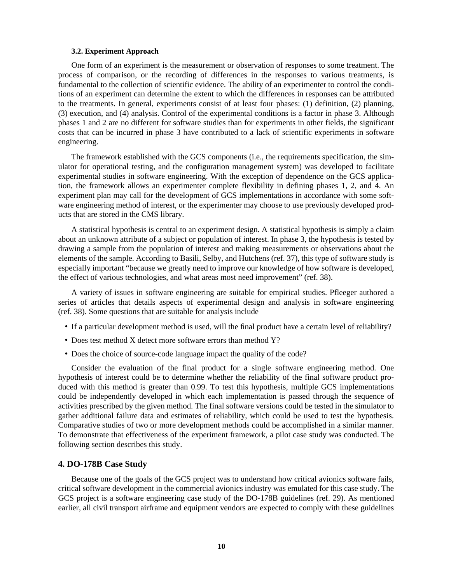#### **3.2. Experiment Approach**

One form of an experiment is the measurement or observation of responses to some treatment. The process of comparison, or the recording of differences in the responses to various treatments, is fundamental to the collection of scientific evidence. The ability of an experimenter to control the conditions of an experiment can determine the extent to which the differences in responses can be attributed to the treatments. In general, experiments consist of at least four phases: (1) definition, (2) planning, (3) execution, and (4) analysis. Control of the experimental conditions is a factor in phase 3. Although phases 1 and 2 are no different for software studies than for experiments in other fields, the significant costs that can be incurred in phase 3 have contributed to a lack of scientific experiments in software engineering.

The framework established with the GCS components (i.e., the requirements specification, the simulator for operational testing, and the configuration management system) was developed to facilitate experimental studies in software engineering. With the exception of dependence on the GCS application, the framework allows an experimenter complete flexibility in defining phases 1, 2, and 4. An experiment plan may call for the development of GCS implementations in accordance with some software engineering method of interest, or the experimenter may choose to use previously developed products that are stored in the CMS library.

A statistical hypothesis is central to an experiment design. A statistical hypothesis is simply a claim about an unknown attribute of a subject or population of interest. In phase 3, the hypothesis is tested by drawing a sample from the population of interest and making measurements or observations about the elements of the sample. According to Basili, Selby, and Hutchens (ref. 37), this type of software study is especially important "because we greatly need to improve our knowledge of how software is developed, the effect of various technologies, and what areas most need improvement" (ref. 38).

A variety of issues in software engineering are suitable for empirical studies. Pfleeger authored a series of articles that details aspects of experimental design and analysis in software engineering (ref. 38). Some questions that are suitable for analysis include

- If a particular development method is used, will the final product have a certain level of reliability?
- Does test method X detect more software errors than method Y?
- Does the choice of source-code language impact the quality of the code?

Consider the evaluation of the final product for a single software engineering method. One hypothesis of interest could be to determine whether the reliability of the final software product produced with this method is greater than 0.99. To test this hypothesis, multiple GCS implementations could be independently developed in which each implementation is passed through the sequence of activities prescribed by the given method. The final software versions could be tested in the simulator to gather additional failure data and estimates of reliability, which could be used to test the hypothesis. Comparative studies of two or more development methods could be accomplished in a similar manner. To demonstrate that effectiveness of the experiment framework, a pilot case study was conducted. The following section describes this study.

#### **4. DO-178B Case Study**

Because one of the goals of the GCS project was to understand how critical avionics software fails, critical software development in the commercial avionics industry was emulated for this case study. The GCS project is a software engineering case study of the DO-178B guidelines (ref. 29). As mentioned earlier, all civil transport airframe and equipment vendors are expected to comply with these guidelines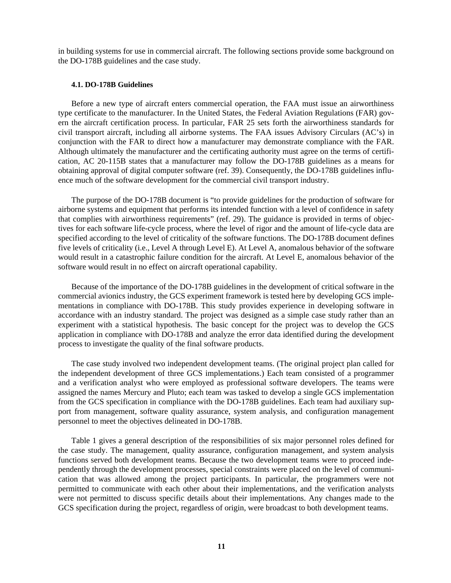in building systems for use in commercial aircraft. The following sections provide some background on the DO-178B guidelines and the case study.

#### **4.1. DO-178B Guidelines**

Before a new type of aircraft enters commercial operation, the FAA must issue an airworthiness type certificate to the manufacturer. In the United States, the Federal Aviation Regulations (FAR) govern the aircraft certification process. In particular, FAR 25 sets forth the airworthiness standards for civil transport aircraft, including all airborne systems. The FAA issues Advisory Circulars (AC's) in conjunction with the FAR to direct how a manufacturer may demonstrate compliance with the FAR. Although ultimately the manufacturer and the certificating authority must agree on the terms of certification, AC 20-115B states that a manufacturer may follow the DO-178B guidelines as a means for obtaining approval of digital computer software (ref. 39). Consequently, the DO-178B guidelines influence much of the software development for the commercial civil transport industry.

The purpose of the DO-178B document is "to provide guidelines for the production of software for airborne systems and equipment that performs its intended function with a level of confidence in safety that complies with airworthiness requirements" (ref. 29). The guidance is provided in terms of objectives for each software life-cycle process, where the level of rigor and the amount of life-cycle data are specified according to the level of criticality of the software functions. The DO-178B document defines five levels of criticality (i.e., Level A through Level E). At Level A, anomalous behavior of the software would result in a catastrophic failure condition for the aircraft. At Level E, anomalous behavior of the software would result in no effect on aircraft operational capability.

Because of the importance of the DO-178B guidelines in the development of critical software in the commercial avionics industry, the GCS experiment framework is tested here by developing GCS implementations in compliance with DO-178B. This study provides experience in developing software in accordance with an industry standard. The project was designed as a simple case study rather than an experiment with a statistical hypothesis. The basic concept for the project was to develop the GCS application in compliance with DO-178B and analyze the error data identified during the development process to investigate the quality of the final software products.

The case study involved two independent development teams. (The original project plan called for the independent development of three GCS implementations.) Each team consisted of a programmer and a verification analyst who were employed as professional software developers. The teams were assigned the names Mercury and Pluto; each team was tasked to develop a single GCS implementation from the GCS specification in compliance with the DO-178B guidelines. Each team had auxiliary support from management, software quality assurance, system analysis, and configuration management personnel to meet the objectives delineated in DO-178B.

Table 1 gives a general description of the responsibilities of six major personnel roles defined for the case study. The management, quality assurance, configuration management, and system analysis functions served both development teams. Because the two development teams were to proceed independently through the development processes, special constraints were placed on the level of communication that was allowed among the project participants. In particular, the programmers were not permitted to communicate with each other about their implementations, and the verification analysts were not permitted to discuss specific details about their implementations. Any changes made to the GCS specification during the project, regardless of origin, were broadcast to both development teams.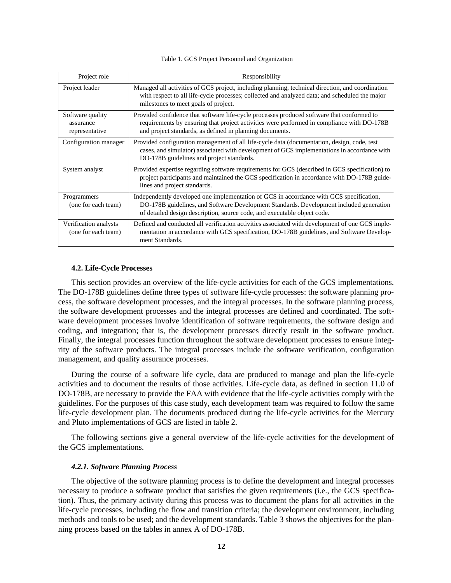|  | Table 1. GCS Project Personnel and Organization |  |  |
|--|-------------------------------------------------|--|--|
|  |                                                 |  |  |

| Project role                                    | Responsibility                                                                                                                                                                                                                                                 |
|-------------------------------------------------|----------------------------------------------------------------------------------------------------------------------------------------------------------------------------------------------------------------------------------------------------------------|
| Project leader                                  | Managed all activities of GCS project, including planning, technical direction, and coordination<br>with respect to all life-cycle processes; collected and analyzed data; and scheduled the major<br>milestones to meet goals of project.                     |
| Software quality<br>assurance<br>representative | Provided confidence that software life-cycle processes produced software that conformed to<br>requirements by ensuring that project activities were performed in compliance with DO-178B<br>and project standards, as defined in planning documents.           |
| Configuration manager                           | Provided configuration management of all life-cycle data (documentation, design, code, test<br>cases, and simulator) associated with development of GCS implementations in accordance with<br>DO-178B guidelines and project standards.                        |
| System analyst                                  | Provided expertise regarding software requirements for GCS (described in GCS specification) to<br>project participants and maintained the GCS specification in accordance with DO-178B guide-<br>lines and project standards.                                  |
| Programmers<br>(one for each team)              | Independently developed one implementation of GCS in accordance with GCS specification,<br>DO-178B guidelines, and Software Development Standards. Development included generation<br>of detailed design description, source code, and executable object code. |
| Verification analysts<br>(one for each team)    | Defined and conducted all verification activities associated with development of one GCS imple-<br>mentation in accordance with GCS specification, DO-178B guidelines, and Software Develop-<br>ment Standards.                                                |

#### **4.2. Life-Cycle Processes**

This section provides an overview of the life-cycle activities for each of the GCS implementations. The DO-178B guidelines define three types of software life-cycle processes: the software planning process, the software development processes, and the integral processes. In the software planning process, the software development processes and the integral processes are defined and coordinated. The software development processes involve identification of software requirements, the software design and coding, and integration; that is, the development processes directly result in the software product. Finally, the integral processes function throughout the software development processes to ensure integrity of the software products. The integral processes include the software verification, configuration management, and quality assurance processes.

During the course of a software life cycle, data are produced to manage and plan the life-cycle activities and to document the results of those activities. Life-cycle data, as defined in section 11.0 of DO-178B, are necessary to provide the FAA with evidence that the life-cycle activities comply with the guidelines. For the purposes of this case study, each development team was required to follow the same life-cycle development plan. The documents produced during the life-cycle activities for the Mercury and Pluto implementations of GCS are listed in table 2.

The following sections give a general overview of the life-cycle activities for the development of the GCS implementations.

#### *4.2.1. Software Planning Process*

The objective of the software planning process is to define the development and integral processes necessary to produce a software product that satisfies the given requirements (i.e., the GCS specification). Thus, the primary activity during this process was to document the plans for all activities in the life-cycle processes, including the flow and transition criteria; the development environment, including methods and tools to be used; and the development standards. Table 3 shows the objectives for the planning process based on the tables in annex A of DO-178B.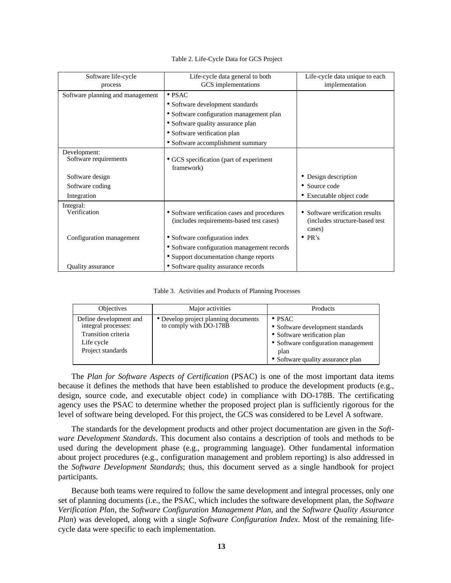| Software life-cycle<br>process   | Life-cycle data general to both<br>GCS implementations | Life-cycle data unique to each<br>implementation |
|----------------------------------|--------------------------------------------------------|--------------------------------------------------|
|                                  |                                                        |                                                  |
| Software planning and management | $\bullet$ PSAC                                         |                                                  |
|                                  | • Software development standards                       |                                                  |
|                                  | • Software configuration management plan               |                                                  |
|                                  | • Software quality assurance plan                      |                                                  |
|                                  | · Software verification plan                           |                                                  |
|                                  | • Software accomplishment summary                      |                                                  |
| Development:                     |                                                        |                                                  |
| Software requirements            | • GCS specification (part of experiment)<br>framework) |                                                  |
| Software design                  |                                                        | • Design description                             |
| Software coding                  |                                                        | • Source code                                    |
|                                  |                                                        |                                                  |
| Integration                      |                                                        | • Executable object code                         |
| Integral:<br>Verification        |                                                        |                                                  |
|                                  | • Software verification cases and procedures           | • Software verification results                  |
|                                  | (includes requirements-based test cases)               | (includes structure-based test)<br>cases)        |
| Configuration management         | • Software configuration index                         | $\bullet$ PR's                                   |
|                                  | • Software configuration management records            |                                                  |
|                                  | • Support documentation change reports                 |                                                  |
| <b>Ouality assurance</b>         | • Software quality assurance records                   |                                                  |

#### Table 2. Life-Cycle Data for GCS Project

Table 3. Activities and Products of Planning Processes

| <b>Objectives</b>                                                                                       | Major activities                                                                       | Products                                                                                                                                                                |
|---------------------------------------------------------------------------------------------------------|----------------------------------------------------------------------------------------|-------------------------------------------------------------------------------------------------------------------------------------------------------------------------|
| Define development and<br>integral processes:<br>Transition criteria<br>Life cycle<br>Project standards | • Develop project planning documents<br>to comply with $\overline{D}O-178\overline{B}$ | $\bullet$ PSAC.<br>• Software development standards<br>• Software verification plan<br>• Software configuration management<br>plan<br>• Software quality assurance plan |

The *Plan for Software Aspects of Certification* (PSAC) is one of the most important data items because it defines the methods that have been established to produce the development products (e.g., design, source code, and executable object code) in compliance with DO-178B. The certificating agency uses the PSAC to determine whether the proposed project plan is sufficiently rigorous for the level of software being developed. For this project, the GCS was considered to be Level A software.

The standards for the development products and other project documentation are given in the *Software Development Standards*. This document also contains a description of tools and methods to be used during the development phase (e.g., programming language). Other fundamental information about project procedures (e.g., configuration management and problem reporting) is also addressed in the *Software Development Standards*; thus, this document served as a single handbook for project participants*.*

Because both teams were required to follow the same development and integral processes, only one set of planning documents (i.e., the PSAC*,* which includes the software development plan, the *Software Verification Plan*, the *Software Configuration Management Plan*, and the *Software Quality Assurance Plan*) was developed, along with a single *Software Configuration Index*. Most of the remaining lifecycle data were specific to each implementation.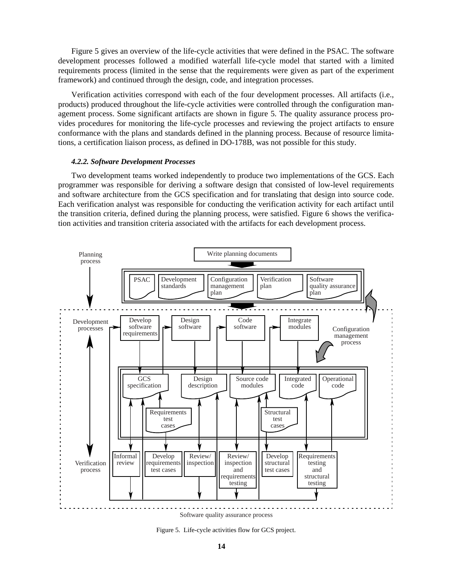Figure 5 gives an overview of the life-cycle activities that were defined in the PSAC. The software development processes followed a modified waterfall life-cycle model that started with a limited requirements process (limited in the sense that the requirements were given as part of the experiment framework) and continued through the design, code, and integration processes.

Verification activities correspond with each of the four development processes. All artifacts (i.e., products) produced throughout the life-cycle activities were controlled through the configuration management process. Some significant artifacts are shown in figure 5. The quality assurance process provides procedures for monitoring the life-cycle processes and reviewing the project artifacts to ensure conformance with the plans and standards defined in the planning process. Because of resource limitations, a certification liaison process, as defined in DO-178B, was not possible for this study.

#### *4.2.2. Software Development Processes*

Two development teams worked independently to produce two implementations of the GCS. Each programmer was responsible for deriving a software design that consisted of low-level requirements and software architecture from the GCS specification and for translating that design into source code. Each verification analyst was responsible for conducting the verification activity for each artifact until the transition criteria, defined during the planning process, were satisfied. Figure 6 shows the verification activities and transition criteria associated with the artifacts for each development process.



Software quality assurance process

Figure 5. Life-cycle activities flow for GCS project.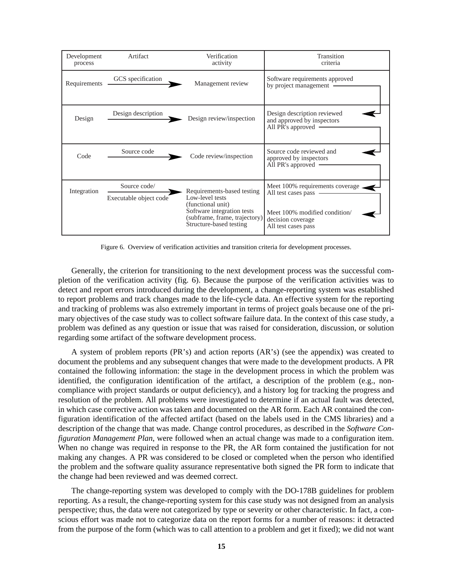

Figure 6. Overview of verification activities and transition criteria for development processes.

Generally, the criterion for transitioning to the next development process was the successful completion of the verification activity (fig. 6). Because the purpose of the verification activities was to detect and report errors introduced during the development, a change-reporting system was established to report problems and track changes made to the life-cycle data. An effective system for the reporting and tracking of problems was also extremely important in terms of project goals because one of the primary objectives of the case study was to collect software failure data. In the context of this case study, a problem was defined as any question or issue that was raised for consideration, discussion, or solution regarding some artifact of the software development process.

A system of problem reports (PR's) and action reports (AR's) (see the appendix) was created to document the problems and any subsequent changes that were made to the development products. A PR contained the following information: the stage in the development process in which the problem was identified, the configuration identification of the artifact, a description of the problem (e.g., noncompliance with project standards or output deficiency), and a history log for tracking the progress and resolution of the problem. All problems were investigated to determine if an actual fault was detected, in which case corrective action was taken and documented on the AR form. Each AR contained the configuration identification of the affected artifact (based on the labels used in the CMS libraries) and a description of the change that was made. Change control procedures, as described in the *Software Configuration Management Plan*, were followed when an actual change was made to a configuration item. When no change was required in response to the PR, the AR form contained the justification for not making any changes. A PR was considered to be closed or completed when the person who identified the problem and the software quality assurance representative both signed the PR form to indicate that the change had been reviewed and was deemed correct.

The change-reporting system was developed to comply with the DO-178B guidelines for problem reporting. As a result, the change-reporting system for this case study was not designed from an analysis perspective; thus, the data were not categorized by type or severity or other characteristic. In fact, a conscious effort was made not to categorize data on the report forms for a number of reasons: it detracted from the purpose of the form (which was to call attention to a problem and get it fixed); we did not want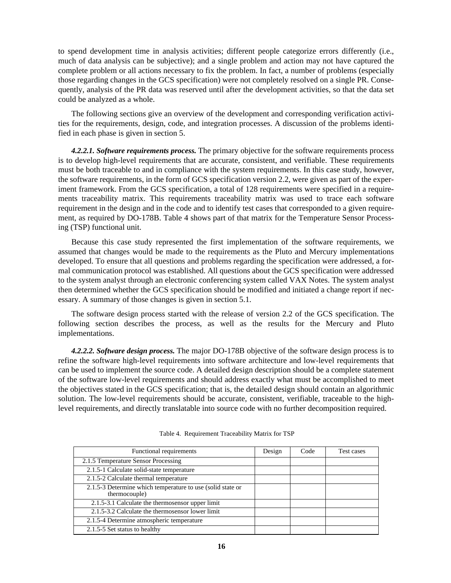to spend development time in analysis activities; different people categorize errors differently (i.e., much of data analysis can be subjective); and a single problem and action may not have captured the complete problem or all actions necessary to fix the problem. In fact, a number of problems (especially those regarding changes in the GCS specification) were not completely resolved on a single PR. Consequently, analysis of the PR data was reserved until after the development activities, so that the data set could be analyzed as a whole.

The following sections give an overview of the development and corresponding verification activities for the requirements, design, code, and integration processes. A discussion of the problems identified in each phase is given in section 5.

*4.2.2.1. Software requirements process.* The primary objective for the software requirements process is to develop high-level requirements that are accurate, consistent, and verifiable. These requirements must be both traceable to and in compliance with the system requirements. In this case study, however, the software requirements, in the form of GCS specification version 2.2, were given as part of the experiment framework. From the GCS specification, a total of 128 requirements were specified in a requirements traceability matrix. This requirements traceability matrix was used to trace each software requirement in the design and in the code and to identify test cases that corresponded to a given requirement, as required by DO-178B. Table 4 shows part of that matrix for the Temperature Sensor Processing (TSP) functional unit.

Because this case study represented the first implementation of the software requirements, we assumed that changes would be made to the requirements as the Pluto and Mercury implementations developed. To ensure that all questions and problems regarding the specification were addressed, a formal communication protocol was established. All questions about the GCS specification were addressed to the system analyst through an electronic conferencing system called VAX Notes. The system analyst then determined whether the GCS specification should be modified and initiated a change report if necessary. A summary of those changes is given in section 5.1.

The software design process started with the release of version 2.2 of the GCS specification. The following section describes the process, as well as the results for the Mercury and Pluto implementations.

*4.2.2.2. Software design process.* The major DO-178B objective of the software design process is to refine the software high-level requirements into software architecture and low-level requirements that can be used to implement the source code. A detailed design description should be a complete statement of the software low-level requirements and should address exactly what must be accomplished to meet the objectives stated in the GCS specification; that is, the detailed design should contain an algorithmic solution. The low-level requirements should be accurate, consistent, verifiable, traceable to the highlevel requirements, and directly translatable into source code with no further decomposition required.

| Functional requirements                                                       | Design | Code | Test cases |
|-------------------------------------------------------------------------------|--------|------|------------|
| 2.1.5 Temperature Sensor Processing                                           |        |      |            |
| 2.1.5-1 Calculate solid-state temperature                                     |        |      |            |
| 2.1.5-2 Calculate thermal temperature                                         |        |      |            |
| $2.1.5-3$ Determine which temperature to use (solid state or<br>thermocouple) |        |      |            |
| 2.1.5-3.1 Calculate the thermosensor upper limit                              |        |      |            |
| 2.1.5-3.2 Calculate the thermosensor lower limit                              |        |      |            |
| 2.1.5-4 Determine atmospheric temperature                                     |        |      |            |
| 2.1.5-5 Set status to healthy                                                 |        |      |            |

|  | Table 4. Requirement Traceability Matrix for TSP |  |  |  |  |
|--|--------------------------------------------------|--|--|--|--|
|--|--------------------------------------------------|--|--|--|--|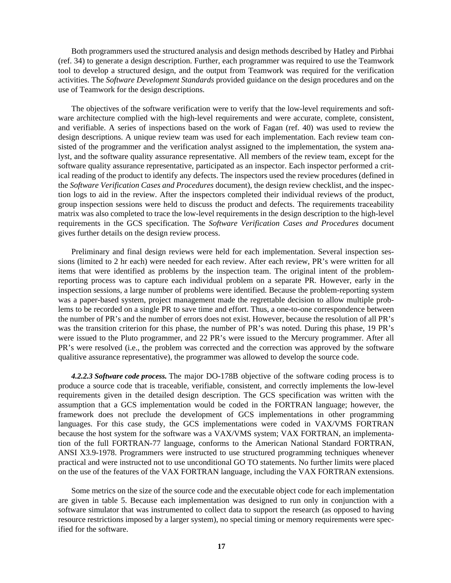Both programmers used the structured analysis and design methods described by Hatley and Pirbhai (ref. 34) to generate a design description. Further, each programmer was required to use the Teamwork tool to develop a structured design, and the output from Teamwork was required for the verification activities. The *Software Development Standards* provided guidance on the design procedures and on the use of Teamwork for the design descriptions.

The objectives of the software verification were to verify that the low-level requirements and software architecture complied with the high-level requirements and were accurate, complete, consistent, and verifiable. A series of inspections based on the work of Fagan (ref. 40) was used to review the design descriptions. A unique review team was used for each implementation. Each review team consisted of the programmer and the verification analyst assigned to the implementation, the system analyst, and the software quality assurance representative. All members of the review team, except for the software quality assurance representative, participated as an inspector. Each inspector performed a critical reading of the product to identify any defects. The inspectors used the review procedures (defined in the *Software Verification Cases and Procedures* document), the design review checklist, and the inspection logs to aid in the review. After the inspectors completed their individual reviews of the product, group inspection sessions were held to discuss the product and defects. The requirements traceability matrix was also completed to trace the low-level requirements in the design description to the high-level requirements in the GCS specification. The *Software Verification Cases and Procedures* document gives further details on the design review process.

Preliminary and final design reviews were held for each implementation. Several inspection sessions (limited to 2 hr each) were needed for each review. After each review, PR's were written for all items that were identified as problems by the inspection team. The original intent of the problemreporting process was to capture each individual problem on a separate PR. However, early in the inspection sessions, a large number of problems were identified. Because the problem-reporting system was a paper-based system, project management made the regrettable decision to allow multiple problems to be recorded on a single PR to save time and effort. Thus, a one-to-one correspondence between the number of PR's and the number of errors does not exist. However, because the resolution of all PR's was the transition criterion for this phase, the number of PR's was noted. During this phase, 19 PR's were issued to the Pluto programmer, and 22 PR's were issued to the Mercury programmer. After all PR's were resolved (i.e., the problem was corrected and the correction was approved by the software qualitive assurance representative), the programmer was allowed to develop the source code.

*4.2.2.3 Software code process.* The major DO-178B objective of the software coding process is to produce a source code that is traceable, verifiable, consistent, and correctly implements the low-level requirements given in the detailed design description. The GCS specification was written with the assumption that a GCS implementation would be coded in the FORTRAN language; however, the framework does not preclude the development of GCS implementations in other programming languages. For this case study, the GCS implementations were coded in VAX/VMS FORTRAN because the host system for the software was a VAX/VMS system; VAX FORTRAN, an implementation of the full FORTRAN-77 language, conforms to the American National Standard FORTRAN, ANSI X3.9-1978. Programmers were instructed to use structured programming techniques whenever practical and were instructed not to use unconditional GO TO statements. No further limits were placed on the use of the features of the VAX FORTRAN language, including the VAX FORTRAN extensions.

Some metrics on the size of the source code and the executable object code for each implementation are given in table 5. Because each implementation was designed to run only in conjunction with a software simulator that was instrumented to collect data to support the research (as opposed to having resource restrictions imposed by a larger system), no special timing or memory requirements were specified for the software.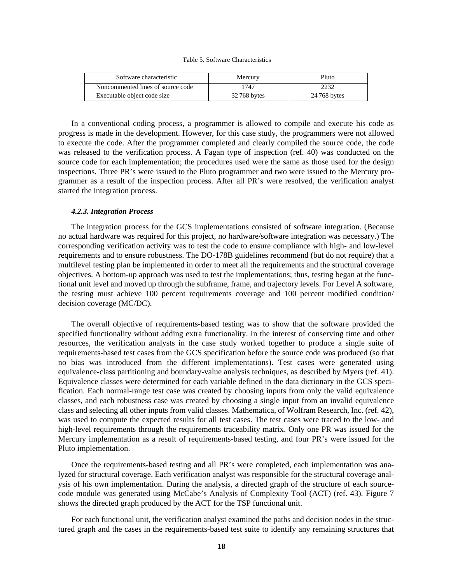#### Table 5. Software Characteristics

| Software characteristic           | Mercury     | Pluto       |
|-----------------------------------|-------------|-------------|
| Noncommented lines of source code | 1747        | 2232        |
| Executable object code size       | 32768 bytes | 24768 bytes |

In a conventional coding process, a programmer is allowed to compile and execute his code as progress is made in the development. However, for this case study, the programmers were not allowed to execute the code. After the programmer completed and clearly compiled the source code, the code was released to the verification process. A Fagan type of inspection (ref. 40) was conducted on the source code for each implementation; the procedures used were the same as those used for the design inspections. Three PR's were issued to the Pluto programmer and two were issued to the Mercury programmer as a result of the inspection process. After all PR's were resolved, the verification analyst started the integration process.

#### *4.2.3. Integration Process*

The integration process for the GCS implementations consisted of software integration. (Because no actual hardware was required for this project, no hardware/software integration was necessary.) The corresponding verification activity was to test the code to ensure compliance with high- and low-level requirements and to ensure robustness. The DO-178B guidelines recommend (but do not require) that a multilevel testing plan be implemented in order to meet all the requirements and the structural coverage objectives. A bottom-up approach was used to test the implementations; thus, testing began at the functional unit level and moved up through the subframe, frame, and trajectory levels. For Level A software, the testing must achieve 100 percent requirements coverage and 100 percent modified condition/ decision coverage (MC/DC).

The overall objective of requirements-based testing was to show that the software provided the specified functionality without adding extra functionality. In the interest of conserving time and other resources, the verification analysts in the case study worked together to produce a single suite of requirements-based test cases from the GCS specification before the source code was produced (so that no bias was introduced from the different implementations). Test cases were generated using equivalence-class partitioning and boundary-value analysis techniques, as described by Myers (ref. 41). Equivalence classes were determined for each variable defined in the data dictionary in the GCS specification. Each normal-range test case was created by choosing inputs from only the valid equivalence classes, and each robustness case was created by choosing a single input from an invalid equivalence class and selecting all other inputs from valid classes. Mathematica, of Wolfram Research, Inc. (ref. 42), was used to compute the expected results for all test cases. The test cases were traced to the low- and high-level requirements through the requirements traceability matrix. Only one PR was issued for the Mercury implementation as a result of requirements-based testing, and four PR's were issued for the Pluto implementation.

Once the requirements-based testing and all PR's were completed, each implementation was analyzed for structural coverage. Each verification analyst was responsible for the structural coverage analysis of his own implementation. During the analysis, a directed graph of the structure of each sourcecode module was generated using McCabe's Analysis of Complexity Tool (ACT) (ref. 43). Figure 7 shows the directed graph produced by the ACT for the TSP functional unit.

For each functional unit, the verification analyst examined the paths and decision nodes in the structured graph and the cases in the requirements-based test suite to identify any remaining structures that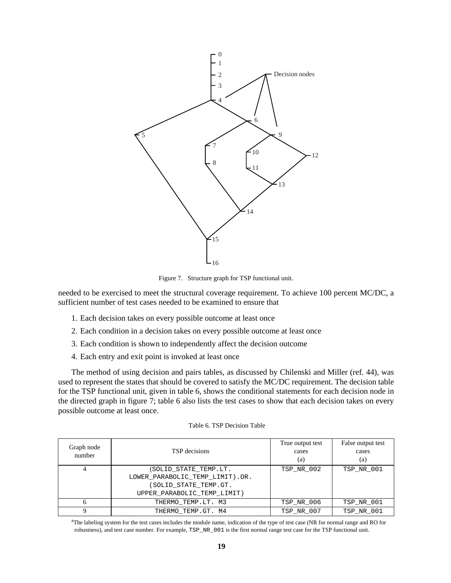

Figure 7. Structure graph for TSP functional unit.

needed to be exercised to meet the structural coverage requirement. To achieve 100 percent MC/DC, a sufficient number of test cases needed to be examined to ensure that

- 1. Each decision takes on every possible outcome at least once
- 2. Each condition in a decision takes on every possible outcome at least once
- 3. Each condition is shown to independently affect the decision outcome
- 4. Each entry and exit point is invoked at least once

The method of using decision and pairs tables, as discussed by Chilenski and Miller (ref. 44), was used to represent the states that should be covered to satisfy the MC/DC requirement. The decision table for the TSP functional unit, given in table 6, shows the conditional statements for each decision node in the directed graph in figure 7; table 6 also lists the test cases to show that each decision takes on every possible outcome at least once.

| Graph node<br>number | TSP decisions                                            | True output test<br>cases<br>(a) | False output test<br>cases<br>(a) |
|----------------------|----------------------------------------------------------|----------------------------------|-----------------------------------|
|                      | (SOLID STATE TEMP.LT.<br>LOWER PARABOLIC TEMP LIMIT).OR. | TSP NR 002                       | TSP NR 001                        |
|                      | SOLID STATE TEMP.GT.<br>UPPER PARABOLIC TEMP LIMIT)      |                                  |                                   |
|                      | THERMO TEMP.LT. M3                                       | TSP NR 006                       | TSP NR 001                        |
|                      | THERMO TEMP.GT. M4                                       | TSP NR 007                       | TSP NR 001                        |

| Table 6. TSP Decision Table |  |  |  |  |
|-----------------------------|--|--|--|--|
|-----------------------------|--|--|--|--|

<sup>a</sup>The labeling system for the test cases includes the module name, indication of the type of test case (NR for normal range and RO for robustness), and test case number. For example, TSP\_NR\_001 is the first normal range test case for the TSP functional unit.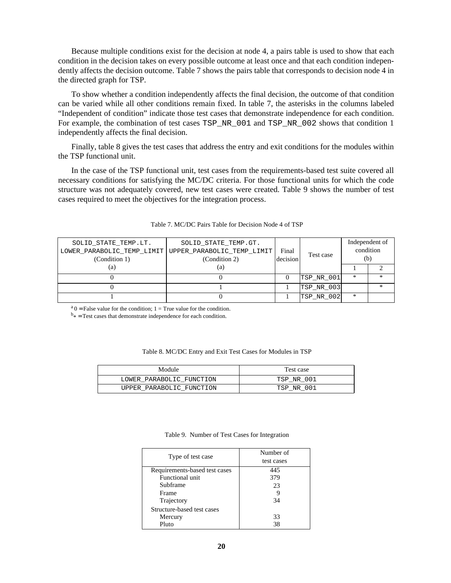Because multiple conditions exist for the decision at node 4, a pairs table is used to show that each condition in the decision takes on every possible outcome at least once and that each condition independently affects the decision outcome. Table 7 shows the pairs table that corresponds to decision node 4 in the directed graph for TSP.

To show whether a condition independently affects the final decision, the outcome of that condition can be varied while all other conditions remain fixed. In table 7, the asterisks in the columns labeled "Independent of condition" indicate those test cases that demonstrate independence for each condition. For example, the combination of test cases TSP\_NR\_001 and TSP\_NR\_002 shows that condition 1 independently affects the final decision.

Finally, table 8 gives the test cases that address the entry and exit conditions for the modules within the TSP functional unit.

In the case of the TSP functional unit, test cases from the requirements-based test suite covered all necessary conditions for satisfying the MC/DC criteria. For those functional units for which the code structure was not adequately covered, new test cases were created. Table 9 shows the number of test cases required to meet the objectives for the integration process.

| SOLID STATE TEMP.LT.<br>LOWER PARABOLIC TEMP LIMIT<br>(Condition 1) | SOLID STATE TEMP.GT.<br>UPPER PARABOLIC TEMP LIMIT<br>(Condition 2) | Final<br>decision | Test case         | Independent of<br>condition<br>(b) |        |
|---------------------------------------------------------------------|---------------------------------------------------------------------|-------------------|-------------------|------------------------------------|--------|
| (a)                                                                 | (a)                                                                 |                   |                   |                                    |        |
|                                                                     |                                                                     |                   | TSP NR 001        | $\ast$                             | $\ast$ |
|                                                                     |                                                                     |                   | <b>TSP NR 003</b> |                                    | $\ast$ |
|                                                                     |                                                                     |                   | <b>TSP NR 002</b> | $*$                                |        |

 $a^a$  0 = False value for the condition; 1 = True value for the condition.

 $b_*$  = Test cases that demonstrate independence for each condition.

| Table 8. MC/DC Entry and Exit Test Cases for Modules in TSP |  |  |  |
|-------------------------------------------------------------|--|--|--|
|-------------------------------------------------------------|--|--|--|

| Module                   | Test case  |
|--------------------------|------------|
| LOWER PARABOLIC FUNCTION | TSP NR 001 |
| UPPER PARABOLIC FUNCTION | TSP NR 001 |

#### Table 9. Number of Test Cases for Integration

| Type of test case             | Number of<br>test cases |
|-------------------------------|-------------------------|
| Requirements-based test cases | 445                     |
| Functional unit               | 379                     |
| Subframe                      | 23                      |
| Frame                         |                         |
| Trajectory                    | 34                      |
| Structure-based test cases    |                         |
| Mercury                       | 33                      |
| Pluto                         | 38                      |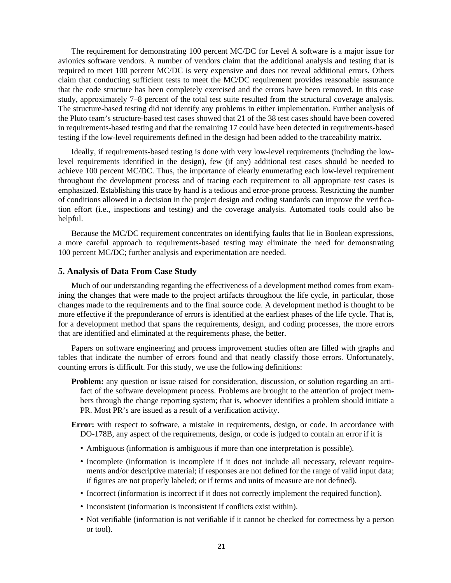The requirement for demonstrating 100 percent MC/DC for Level A software is a major issue for avionics software vendors. A number of vendors claim that the additional analysis and testing that is required to meet 100 percent MC/DC is very expensive and does not reveal additional errors. Others claim that conducting sufficient tests to meet the MC/DC requirement provides reasonable assurance that the code structure has been completely exercised and the errors have been removed. In this case study, approximately 7–8 percent of the total test suite resulted from the structural coverage analysis. The structure-based testing did not identify any problems in either implementation. Further analysis of the Pluto team's structure-based test cases showed that 21 of the 38 test cases should have been covered in requirements-based testing and that the remaining 17 could have been detected in requirements-based testing if the low-level requirements defined in the design had been added to the traceability matrix.

Ideally, if requirements-based testing is done with very low-level requirements (including the lowlevel requirements identified in the design), few (if any) additional test cases should be needed to achieve 100 percent MC/DC. Thus, the importance of clearly enumerating each low-level requirement throughout the development process and of tracing each requirement to all appropriate test cases is emphasized. Establishing this trace by hand is a tedious and error-prone process. Restricting the number of conditions allowed in a decision in the project design and coding standards can improve the verification effort (i.e., inspections and testing) and the coverage analysis. Automated tools could also be helpful.

Because the MC/DC requirement concentrates on identifying faults that lie in Boolean expressions, a more careful approach to requirements-based testing may eliminate the need for demonstrating 100 percent MC/DC; further analysis and experimentation are needed.

#### **5. Analysis of Data From Case Study**

Much of our understanding regarding the effectiveness of a development method comes from examining the changes that were made to the project artifacts throughout the life cycle, in particular, those changes made to the requirements and to the final source code. A development method is thought to be more effective if the preponderance of errors is identified at the earliest phases of the life cycle. That is, for a development method that spans the requirements, design, and coding processes, the more errors that are identified and eliminated at the requirements phase, the better.

Papers on software engineering and process improvement studies often are filled with graphs and tables that indicate the number of errors found and that neatly classify those errors. Unfortunately, counting errors is difficult. For this study, we use the following definitions:

**Problem:** any question or issue raised for consideration, discussion, or solution regarding an artifact of the software development process. Problems are brought to the attention of project members through the change reporting system; that is, whoever identifies a problem should initiate a PR. Most PR's are issued as a result of a verification activity.

**Error:** with respect to software, a mistake in requirements, design, or code. In accordance with DO-178B, any aspect of the requirements, design, or code is judged to contain an error if it is

- Ambiguous (information is ambiguous if more than one interpretation is possible).
- Incomplete (information is incomplete if it does not include all necessary, relevant requirements and/or descriptive material; if responses are not defined for the range of valid input data; if figures are not properly labeled; or if terms and units of measure are not defined).
- Incorrect (information is incorrect if it does not correctly implement the required function).
- Inconsistent (information is inconsistent if conflicts exist within).
- Not verifiable (information is not verifiable if it cannot be checked for correctness by a person or tool).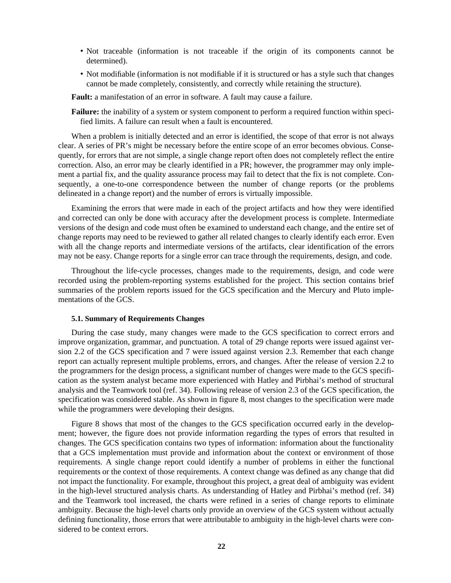- Not traceable (information is not traceable if the origin of its components cannot be determined).
- Not modifiable (information is not modifiable if it is structured or has a style such that changes cannot be made completely, consistently, and correctly while retaining the structure).

**Fault:** a manifestation of an error in software. A fault may cause a failure.

**Failure:** the inability of a system or system component to perform a required function within specified limits. A failure can result when a fault is encountered.

When a problem is initially detected and an error is identified, the scope of that error is not always clear. A series of PR's might be necessary before the entire scope of an error becomes obvious. Consequently, for errors that are not simple, a single change report often does not completely reflect the entire correction. Also, an error may be clearly identified in a PR; however, the programmer may only implement a partial fix, and the quality assurance process may fail to detect that the fix is not complete. Consequently, a one-to-one correspondence between the number of change reports (or the problems delineated in a change report) and the number of errors is virtually impossible.

Examining the errors that were made in each of the project artifacts and how they were identified and corrected can only be done with accuracy after the development process is complete. Intermediate versions of the design and code must often be examined to understand each change, and the entire set of change reports may need to be reviewed to gather all related changes to clearly identify each error. Even with all the change reports and intermediate versions of the artifacts, clear identification of the errors may not be easy. Change reports for a single error can trace through the requirements, design, and code.

Throughout the life-cycle processes, changes made to the requirements, design, and code were recorded using the problem-reporting systems established for the project. This section contains brief summaries of the problem reports issued for the GCS specification and the Mercury and Pluto implementations of the GCS.

#### **5.1. Summary of Requirements Changes**

During the case study, many changes were made to the GCS specification to correct errors and improve organization, grammar, and punctuation. A total of 29 change reports were issued against version 2.2 of the GCS specification and 7 were issued against version 2.3. Remember that each change report can actually represent multiple problems, errors, and changes. After the release of version 2.2 to the programmers for the design process, a significant number of changes were made to the GCS specification as the system analyst became more experienced with Hatley and Pirbhai's method of structural analysis and the Teamwork tool (ref. 34). Following release of version 2.3 of the GCS specification, the specification was considered stable. As shown in figure 8, most changes to the specification were made while the programmers were developing their designs.

Figure 8 shows that most of the changes to the GCS specification occurred early in the development; however, the figure does not provide information regarding the types of errors that resulted in changes. The GCS specification contains two types of information: information about the functionality that a GCS implementation must provide and information about the context or environment of those requirements. A single change report could identify a number of problems in either the functional requirements or the context of those requirements. A context change was defined as any change that did not impact the functionality. For example, throughout this project, a great deal of ambiguity was evident in the high-level structured analysis charts. As understanding of Hatley and Pirbhai's method (ref. 34) and the Teamwork tool increased, the charts were refined in a series of change reports to eliminate ambiguity. Because the high-level charts only provide an overview of the GCS system without actually defining functionality, those errors that were attributable to ambiguity in the high-level charts were considered to be context errors.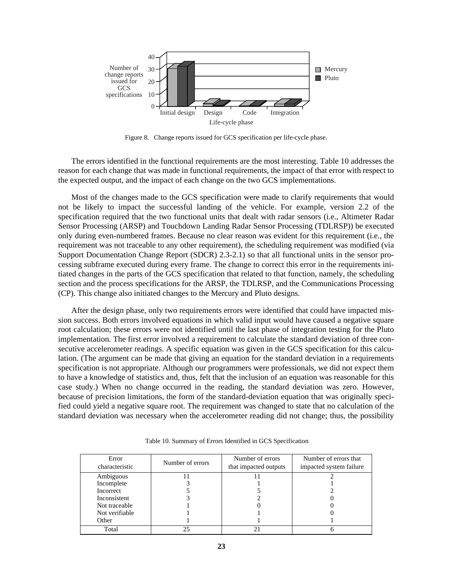

Figure 8. Change reports issued for GCS specification per life-cycle phase.

The errors identified in the functional requirements are the most interesting. Table 10 addresses the reason for each change that was made in functional requirements, the impact of that error with respect to the expected output, and the impact of each change on the two GCS implementations.

Most of the changes made to the GCS specification were made to clarify requirements that would not be likely to impact the successful landing of the vehicle. For example, version 2.2 of the specification required that the two functional units that dealt with radar sensors (i.e., Altimeter Radar Sensor Processing (ARSP) and Touchdown Landing Radar Sensor Processing (TDLRSP)) be executed only during even-numbered frames. Because no clear reason was evident for this requirement (i.e., the requirement was not traceable to any other requirement), the scheduling requirement was modified (via Support Documentation Change Report (SDCR) 2.3-2.1) so that all functional units in the sensor processing subframe executed during every frame. The change to correct this error in the requirements initiated changes in the parts of the GCS specification that related to that function, namely, the scheduling section and the process specifications for the ARSP, the TDLRSP, and the Communications Processing (CP). This change also initiated changes to the Mercury and Pluto designs.

After the design phase, only two requirements errors were identified that could have impacted mission success. Both errors involved equations in which valid input would have caused a negative square root calculation; these errors were not identified until the last phase of integration testing for the Pluto implementation. The first error involved a requirement to calculate the standard deviation of three consecutive accelerometer readings. A specific equation was given in the GCS specification for this calculation. (The argument can be made that giving an equation for the standard deviation in a requirements specification is not appropriate. Although our programmers were professionals, we did not expect them to have a knowledge of statistics and, thus, felt that the inclusion of an equation was reasonable for this case study.) When no change occurred in the reading, the standard deviation was zero. However, because of precision limitations, the form of the standard-deviation equation that was originally specified could yield a negative square root. The requirement was changed to state that no calculation of the standard deviation was necessary when the accelerometer reading did not change; thus, the possibility

| Error<br>characteristic | Number of errors | Number of errors<br>that impacted outputs | Number of errors that<br>impacted system failure |
|-------------------------|------------------|-------------------------------------------|--------------------------------------------------|
| Ambiguous               |                  |                                           |                                                  |
| Incomplete              |                  |                                           |                                                  |
| <b>Incorrect</b>        |                  |                                           |                                                  |
| Inconsistent            |                  |                                           |                                                  |
| Not traceable           |                  |                                           |                                                  |
| Not verifiable          |                  |                                           |                                                  |
| Other                   |                  |                                           |                                                  |
| Total                   | າຈ               |                                           |                                                  |

Table 10. Summary of Errors Identified in GCS Specification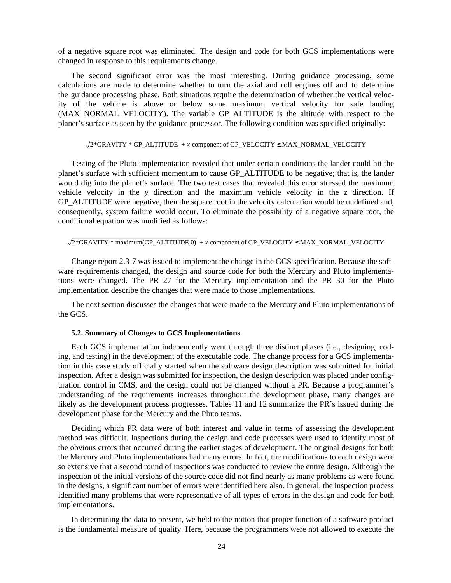of a negative square root was eliminated. The design and code for both GCS implementations were changed in response to this requirements change.

The second significant error was the most interesting. During guidance processing, some calculations are made to determine whether to turn the axial and roll engines off and to determine the guidance processing phase. Both situations require the determination of whether the vertical velocity of the vehicle is above or below some maximum vertical velocity for safe landing (MAX\_NORMAL\_VELOCITY). The variable GP\_ALTITUDE is the altitude with respect to the planet's surface as seen by the guidance processor. The following condition was specified originally:

#### $\sqrt{2*GRAVITY* GP\_ALTITIVE}$  + *x* component of GP\_VELOCITY ≤ MAX\_NORMAL\_VELOCITY

Testing of the Pluto implementation revealed that under certain conditions the lander could hit the planet's surface with sufficient momentum to cause GP\_ALTITUDE to be negative; that is, the lander would dig into the planet's surface. The two test cases that revealed this error stressed the maximum vehicle velocity in the *y* direction and the maximum vehicle velocity in the *z* direction. If GP\_ALTITUDE were negative, then the square root in the velocity calculation would be undefined and, consequently, system failure would occur. To eliminate the possibility of a negative square root, the conditional equation was modified as follows:

#### $\sqrt{2*GRAVITY}$  \* maximum(GP\_ALTITUDE,0) + *x* component of GP\_VELOCITY ≤ MAX\_NORMAL\_VELOCITY

Change report 2.3-7 was issued to implement the change in the GCS specification. Because the software requirements changed, the design and source code for both the Mercury and Pluto implementations were changed. The PR 27 for the Mercury implementation and the PR 30 for the Pluto implementation describe the changes that were made to those implementations.

The next section discusses the changes that were made to the Mercury and Pluto implementations of the GCS.

#### **5.2. Summary of Changes to GCS Implementations**

Each GCS implementation independently went through three distinct phases (i.e., designing, coding, and testing) in the development of the executable code. The change process for a GCS implementation in this case study officially started when the software design description was submitted for initial inspection. After a design was submitted for inspection, the design description was placed under configuration control in CMS, and the design could not be changed without a PR. Because a programmer's understanding of the requirements increases throughout the development phase, many changes are likely as the development process progresses. Tables 11 and 12 summarize the PR's issued during the development phase for the Mercury and the Pluto teams.

Deciding which PR data were of both interest and value in terms of assessing the development method was difficult. Inspections during the design and code processes were used to identify most of the obvious errors that occurred during the earlier stages of development. The original designs for both the Mercury and Pluto implementations had many errors. In fact, the modifications to each design were so extensive that a second round of inspections was conducted to review the entire design. Although the inspection of the initial versions of the source code did not find nearly as many problems as were found in the designs, a significant number of errors were identified here also. In general, the inspection process identified many problems that were representative of all types of errors in the design and code for both implementations.

In determining the data to present, we held to the notion that proper function of a software product is the fundamental measure of quality. Here, because the programmers were not allowed to execute the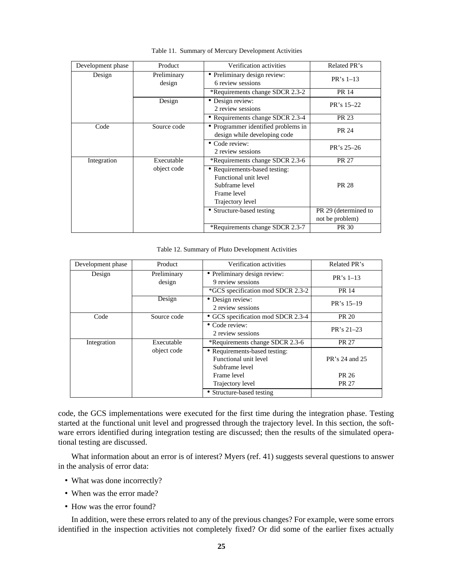| Development phase | Product               | Verification activities                                                                                     | Related PR's                            |
|-------------------|-----------------------|-------------------------------------------------------------------------------------------------------------|-----------------------------------------|
| Design            | Preliminary<br>design | • Preliminary design review:<br>6 review sessions                                                           | $PR's 1-13$                             |
|                   |                       | *Requirements change SDCR 2.3-2                                                                             | PR 14                                   |
|                   | Design                | • Design review:<br>2 review sessions                                                                       | PR's 15-22                              |
|                   |                       | • Requirements change SDCR 2.3-4                                                                            | PR 23                                   |
| Code              | Source code           | • Programmer identified problems in<br>design while developing code                                         | PR 24                                   |
|                   |                       | • Code review:<br>2 review sessions                                                                         | PR's 25-26                              |
| Integration       | Executable            | *Requirements change SDCR 2.3-6                                                                             | PR 27                                   |
|                   | object code           | • Requirements-based testing:<br>Functional unit level<br>Subframe level<br>Frame level<br>Trajectory level | PR 28                                   |
|                   |                       | • Structure-based testing                                                                                   | PR 29 (determined to<br>not be problem) |
|                   |                       | *Requirements change SDCR 2.3-7                                                                             | PR 30                                   |

|  |  |  |  | Table 11. Summary of Mercury Development Activities |
|--|--|--|--|-----------------------------------------------------|
|--|--|--|--|-----------------------------------------------------|

|  |  |  | Table 12. Summary of Pluto Development Activities |  |
|--|--|--|---------------------------------------------------|--|
|--|--|--|---------------------------------------------------|--|

| Development phase | Product               | Verification activities                                                  | Related PR's   |
|-------------------|-----------------------|--------------------------------------------------------------------------|----------------|
| Design            | Preliminary<br>design | • Preliminary design review:<br>9 review sessions                        | $PR's 1-13$    |
|                   |                       | *GCS specification mod SDCR 2.3-2                                        | PR 14          |
|                   | Design                | • Design review:<br>2 review sessions                                    | PR's 15-19     |
| Code              | Source code           | • GCS specification mod SDCR 2.3-4                                       | PR 20          |
|                   |                       | • Code review:<br>2 review sessions                                      | $PR's 21-23$   |
| Integration       | Executable            | *Requirements change SDCR 2.3-6                                          | PR 27          |
|                   | object code           | • Requirements-based testing:<br>Functional unit level<br>Subframe level | PR's 24 and 25 |
|                   |                       | Frame level                                                              | PR 26          |
|                   |                       | Trajectory level                                                         | PR 27          |
|                   |                       | • Structure-based testing                                                |                |

code, the GCS implementations were executed for the first time during the integration phase. Testing started at the functional unit level and progressed through the trajectory level. In this section, the software errors identified during integration testing are discussed; then the results of the simulated operational testing are discussed.

What information about an error is of interest? Myers (ref. 41) suggests several questions to answer in the analysis of error data:

- What was done incorrectly?
- When was the error made?
- How was the error found?

In addition, were these errors related to any of the previous changes? For example, were some errors identified in the inspection activities not completely fixed? Or did some of the earlier fixes actually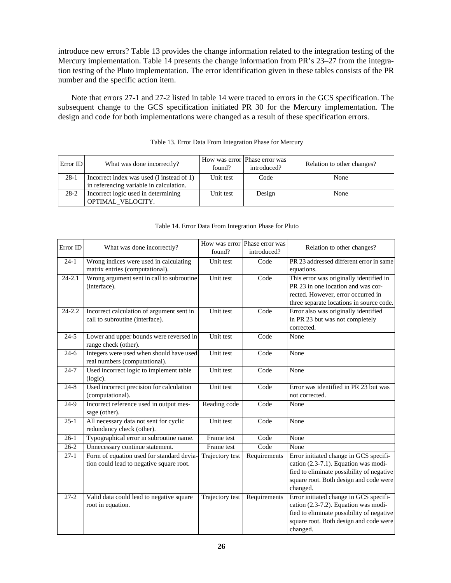introduce new errors? Table 13 provides the change information related to the integration testing of the Mercury implementation. Table 14 presents the change information from PR's 23–27 from the integration testing of the Pluto implementation. The error identification given in these tables consists of the PR number and the specific action item.

Note that errors 27-1 and 27-2 listed in table 14 were traced to errors in the GCS specification. The subsequent change to the GCS specification initiated PR 30 for the Mercury implementation. The design and code for both implementations were changed as a result of these specification errors.

| Error ID | What was done incorrectly?                | found?    | How was error   Phase error was  <br>introduced? | Relation to other changes? |
|----------|-------------------------------------------|-----------|--------------------------------------------------|----------------------------|
| $28-1$   | Incorrect index was used (I instead of 1) | Unit test | Code                                             | None                       |
|          | in referencing variable in calculation.   |           |                                                  |                            |
| $28-2$   | Incorrect logic used in determining       | Unit test | Design                                           | None                       |
|          | OPTIMAL VELOCITY.                         |           |                                                  |                            |

#### Table 13. Error Data From Integration Phase for Mercury

| Error ID   | What was done incorrectly?                                                            | found?          | How was error Phase error was<br>introduced? | Relation to other changes?                                                                                                                                                        |
|------------|---------------------------------------------------------------------------------------|-----------------|----------------------------------------------|-----------------------------------------------------------------------------------------------------------------------------------------------------------------------------------|
| $24-1$     | Wrong indices were used in calculating<br>matrix entries (computational).             | Unit test       | Code                                         | PR 23 addressed different error in same<br>equations.                                                                                                                             |
| $24 - 2.1$ | Wrong argument sent in call to subroutine<br>(interface).                             | Unit test       | Code                                         | This error was originally identified in<br>PR 23 in one location and was cor-<br>rected. However, error occurred in<br>three separate locations in source code.                   |
| $24 - 2.2$ | Incorrect calculation of argument sent in<br>call to subroutine (interface).          | Unit test       | Code                                         | Error also was originally identified<br>in PR 23 but was not completely<br>corrected.                                                                                             |
| $24 - 5$   | Lower and upper bounds were reversed in<br>range check (other).                       | Unit test       | Code                                         | None                                                                                                                                                                              |
| $24-6$     | Integers were used when should have used<br>real numbers (computational).             | Unit test       | Code                                         | None                                                                                                                                                                              |
| $24 - 7$   | Used incorrect logic to implement table<br>(logic).                                   | Unit test       | Code                                         | None                                                                                                                                                                              |
| $24 - 8$   | Used incorrect precision for calculation<br>(computational).                          | Unit test       | Code                                         | Error was identified in PR 23 but was<br>not corrected.                                                                                                                           |
| $24-9$     | Incorrect reference used in output mes-<br>sage (other).                              | Reading code    | Code                                         | None                                                                                                                                                                              |
| $25 - 1$   | All necessary data not sent for cyclic<br>redundancy check (other).                   | Unit test       | Code                                         | None                                                                                                                                                                              |
| $26-1$     | Typographical error in subroutine name.                                               | Frame test      | Code                                         | None                                                                                                                                                                              |
| $26-2$     | Unnecessary continue statement.                                                       | Frame test      | Code                                         | None                                                                                                                                                                              |
| $27-1$     | Form of equation used for standard devia-<br>tion could lead to negative square root. | Trajectory test | Requirements                                 | Error initiated change in GCS specifi-<br>cation (2.3-7.1). Equation was modi-<br>fied to eliminate possibility of negative<br>square root. Both design and code were<br>changed. |
| $27-2$     | Valid data could lead to negative square<br>root in equation.                         | Trajectory test | Requirements                                 | Error initiated change in GCS specifi-<br>cation (2.3-7.2). Equation was modi-<br>fied to eliminate possibility of negative<br>square root. Both design and code were<br>changed. |

#### Table 14. Error Data From Integration Phase for Pluto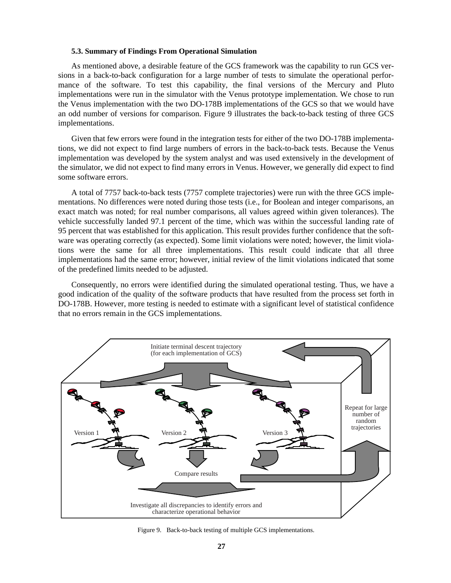#### **5.3. Summary of Findings From Operational Simulation**

As mentioned above, a desirable feature of the GCS framework was the capability to run GCS versions in a back-to-back configuration for a large number of tests to simulate the operational performance of the software. To test this capability, the final versions of the Mercury and Pluto implementations were run in the simulator with the Venus prototype implementation. We chose to run the Venus implementation with the two DO-178B implementations of the GCS so that we would have an odd number of versions for comparison. Figure 9 illustrates the back-to-back testing of three GCS implementations.

Given that few errors were found in the integration tests for either of the two DO-178B implementations, we did not expect to find large numbers of errors in the back-to-back tests. Because the Venus implementation was developed by the system analyst and was used extensively in the development of the simulator, we did not expect to find many errors in Venus. However, we generally did expect to find some software errors.

A total of 7757 back-to-back tests (7757 complete trajectories) were run with the three GCS implementations. No differences were noted during those tests (i.e., for Boolean and integer comparisons, an exact match was noted; for real number comparisons, all values agreed within given tolerances). The vehicle successfully landed 97.1 percent of the time, which was within the successful landing rate of 95 percent that was established for this application. This result provides further confidence that the software was operating correctly (as expected). Some limit violations were noted; however, the limit violations were the same for all three implementations. This result could indicate that all three implementations had the same error; however, initial review of the limit violations indicated that some of the predefined limits needed to be adjusted.

Consequently, no errors were identified during the simulated operational testing. Thus, we have a good indication of the quality of the software products that have resulted from the process set forth in DO-178B. However, more testing is needed to estimate with a significant level of statistical confidence that no errors remain in the GCS implementations.



Figure 9. Back-to-back testing of multiple GCS implementations.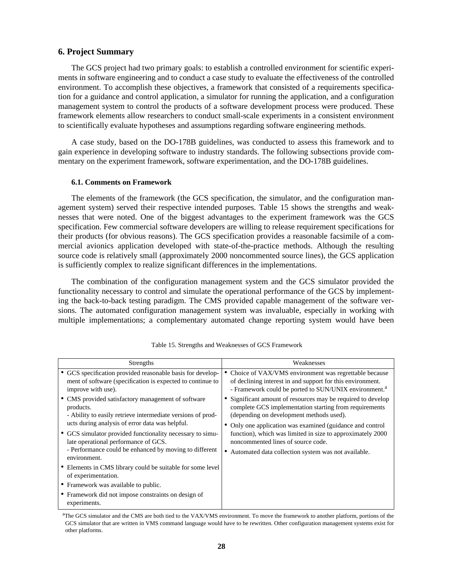#### **6. Project Summary**

The GCS project had two primary goals: to establish a controlled environment for scientific experiments in software engineering and to conduct a case study to evaluate the effectiveness of the controlled environment. To accomplish these objectives, a framework that consisted of a requirements specification for a guidance and control application, a simulator for running the application, and a configuration management system to control the products of a software development process were produced. These framework elements allow researchers to conduct small-scale experiments in a consistent environment to scientifically evaluate hypotheses and assumptions regarding software engineering methods.

A case study, based on the DO-178B guidelines, was conducted to assess this framework and to gain experience in developing software to industry standards. The following subsections provide commentary on the experiment framework, software experimentation, and the DO-178B guidelines.

#### **6.1. Comments on Framework**

The elements of the framework (the GCS specification, the simulator, and the configuration management system) served their respective intended purposes. Table 15 shows the strengths and weaknesses that were noted. One of the biggest advantages to the experiment framework was the GCS specification. Few commercial software developers are willing to release requirement specifications for their products (for obvious reasons). The GCS specification provides a reasonable facsimile of a commercial avionics application developed with state-of-the-practice methods. Although the resulting source code is relatively small (approximately 2000 noncommented source lines), the GCS application is sufficiently complex to realize significant differences in the implementations.

The combination of the configuration management system and the GCS simulator provided the functionality necessary to control and simulate the operational performance of the GCS by implementing the back-to-back testing paradigm. The CMS provided capable management of the software versions. The automated configuration management system was invaluable, especially in working with multiple implementations; a complementary automated change reporting system would have been

| <b>Strengths</b>                                                                                                                                                                                                                                                                                                                                                                                                                                                                                                                                                     | Weaknesses                                                                                                                                                                                                                                                                                                                                                                               |
|----------------------------------------------------------------------------------------------------------------------------------------------------------------------------------------------------------------------------------------------------------------------------------------------------------------------------------------------------------------------------------------------------------------------------------------------------------------------------------------------------------------------------------------------------------------------|------------------------------------------------------------------------------------------------------------------------------------------------------------------------------------------------------------------------------------------------------------------------------------------------------------------------------------------------------------------------------------------|
| • GCS specification provided reasonable basis for develop-<br>ment of software (specification is expected to continue to<br>improve with use).                                                                                                                                                                                                                                                                                                                                                                                                                       | Choice of VAX/VMS environment was regrettable because<br>of declining interest in and support for this environment.<br>- Framework could be ported to SUN/UNIX environment. <sup>a</sup>                                                                                                                                                                                                 |
| • CMS provided satisfactory management of software<br>products.<br>- Ability to easily retrieve intermediate versions of prod-<br>ucts during analysis of error data was helpful.<br>• GCS simulator provided functionality necessary to simu-<br>late operational performance of GCS.<br>- Performance could be enhanced by moving to different<br>environment.<br>• Elements in CMS library could be suitable for some level<br>of experimentation.<br>• Framework was available to public.<br>• Framework did not impose constraints on design of<br>experiments. | Significant amount of resources may be required to develop<br>complete GCS implementation starting from requirements<br>(depending on development methods used).<br>• Only one application was examined (guidance and control<br>function), which was limited in size to approximately 2000<br>noncommented lines of source code.<br>Automated data collection system was not available. |

#### Table 15. Strengths and Weaknesses of GCS Framework

<sup>&</sup>lt;sup>a</sup>The GCS simulator and the CMS are both tied to the VAX/VMS environment. To move the framework to another platform, portions of the GCS simulator that are written in VMS command language would have to be rewritten. Other configuration management systems exist for other platforms.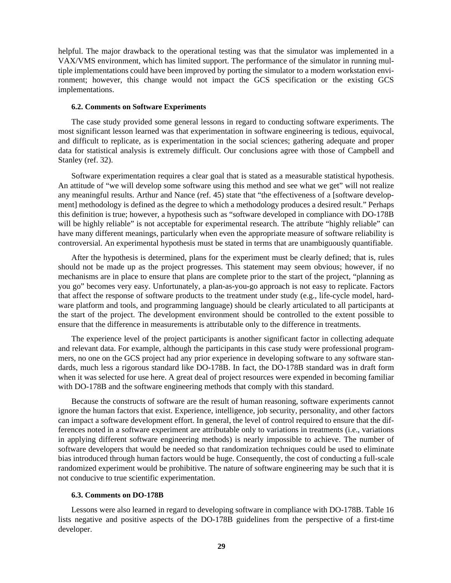helpful. The major drawback to the operational testing was that the simulator was implemented in a VAX/VMS environment, which has limited support. The performance of the simulator in running multiple implementations could have been improved by porting the simulator to a modern workstation environment; however, this change would not impact the GCS specification or the existing GCS implementations.

#### **6.2. Comments on Software Experiments**

The case study provided some general lessons in regard to conducting software experiments. The most significant lesson learned was that experimentation in software engineering is tedious, equivocal, and difficult to replicate, as is experimentation in the social sciences; gathering adequate and proper data for statistical analysis is extremely difficult. Our conclusions agree with those of Campbell and Stanley (ref. 32).

Software experimentation requires a clear goal that is stated as a measurable statistical hypothesis. An attitude of "we will develop some software using this method and see what we get" will not realize any meaningful results. Arthur and Nance (ref. 45) state that "the effectiveness of a [software development] methodology is defined as the degree to which a methodology produces a desired result." Perhaps this definition is true; however, a hypothesis such as "software developed in compliance with DO-178B will be highly reliable" is not acceptable for experimental research. The attribute "highly reliable" can have many different meanings, particularly when even the appropriate measure of software reliability is controversial. An experimental hypothesis must be stated in terms that are unambiguously quantifiable.

After the hypothesis is determined, plans for the experiment must be clearly defined; that is, rules should not be made up as the project progresses. This statement may seem obvious; however, if no mechanisms are in place to ensure that plans are complete prior to the start of the project, "planning as you go" becomes very easy. Unfortunately, a plan-as-you-go approach is not easy to replicate. Factors that affect the response of software products to the treatment under study (e.g., life-cycle model, hardware platform and tools, and programming language) should be clearly articulated to all participants at the start of the project. The development environment should be controlled to the extent possible to ensure that the difference in measurements is attributable only to the difference in treatments.

The experience level of the project participants is another significant factor in collecting adequate and relevant data. For example, although the participants in this case study were professional programmers, no one on the GCS project had any prior experience in developing software to any software standards, much less a rigorous standard like DO-178B. In fact, the DO-178B standard was in draft form when it was selected for use here. A great deal of project resources were expended in becoming familiar with DO-178B and the software engineering methods that comply with this standard.

Because the constructs of software are the result of human reasoning, software experiments cannot ignore the human factors that exist. Experience, intelligence, job security, personality, and other factors can impact a software development effort. In general, the level of control required to ensure that the differences noted in a software experiment are attributable only to variations in treatments (i.e., variations in applying different software engineering methods) is nearly impossible to achieve. The number of software developers that would be needed so that randomization techniques could be used to eliminate bias introduced through human factors would be huge. Consequently, the cost of conducting a full-scale randomized experiment would be prohibitive. The nature of software engineering may be such that it is not conducive to true scientific experimentation.

#### **6.3. Comments on DO-178B**

Lessons were also learned in regard to developing software in compliance with DO-178B. Table 16 lists negative and positive aspects of the DO-178B guidelines from the perspective of a first-time developer.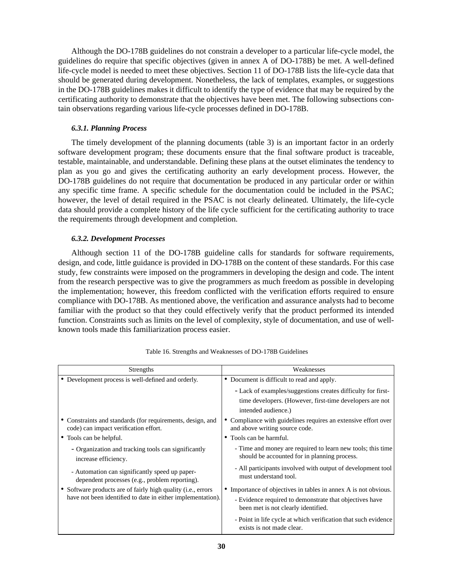Although the DO-178B guidelines do not constrain a developer to a particular life-cycle model, the guidelines do require that specific objectives (given in annex A of DO-178B) be met. A well-defined life-cycle model is needed to meet these objectives. Section 11 of DO-178B lists the life-cycle data that should be generated during development. Nonetheless, the lack of templates, examples, or suggestions in the DO-178B guidelines makes it difficult to identify the type of evidence that may be required by the certificating authority to demonstrate that the objectives have been met. The following subsections contain observations regarding various life-cycle processes defined in DO-178B.

#### *6.3.1. Planning Process*

The timely development of the planning documents (table 3) is an important factor in an orderly software development program; these documents ensure that the final software product is traceable, testable, maintainable, and understandable. Defining these plans at the outset eliminates the tendency to plan as you go and gives the certificating authority an early development process. However, the DO-178B guidelines do not require that documentation be produced in any particular order or within any specific time frame. A specific schedule for the documentation could be included in the PSAC; however, the level of detail required in the PSAC is not clearly delineated. Ultimately, the life-cycle data should provide a complete history of the life cycle sufficient for the certificating authority to trace the requirements through development and completion.

#### *6.3.2. Development Processes*

Although section 11 of the DO-178B guideline calls for standards for software requirements, design, and code, little guidance is provided in DO-178B on the content of these standards. For this case study, few constraints were imposed on the programmers in developing the design and code. The intent from the research perspective was to give the programmers as much freedom as possible in developing the implementation; however, this freedom conflicted with the verification efforts required to ensure compliance with DO-178B. As mentioned above, the verification and assurance analysts had to become familiar with the product so that they could effectively verify that the product performed its intended function. Constraints such as limits on the level of complexity, style of documentation, and use of wellknown tools made this familiarization process easier.

| <b>Strengths</b> |                                                                                                     | Weaknesses                                                                                                                                      |  |  |
|------------------|-----------------------------------------------------------------------------------------------------|-------------------------------------------------------------------------------------------------------------------------------------------------|--|--|
|                  | • Development process is well-defined and orderly.                                                  | • Document is difficult to read and apply.                                                                                                      |  |  |
|                  |                                                                                                     | - Lack of examples/suggestions creates difficulty for first-<br>time developers. (However, first-time developers are not<br>intended audience.) |  |  |
|                  | • Constraints and standards (for requirements, design, and<br>code) can impact verification effort. | • Compliance with guidelines requires an extensive effort over<br>and above writing source code.                                                |  |  |
|                  | • Tools can be helpful.                                                                             | • Tools can be harmful.                                                                                                                         |  |  |
|                  | - Organization and tracking tools can significantly<br>increase efficiency.                         | - Time and money are required to learn new tools; this time<br>should be accounted for in planning process.                                     |  |  |
|                  | - Automation can significantly speed up paper-<br>dependent processes (e.g., problem reporting).    | - All participants involved with output of development tool<br>must understand tool.                                                            |  |  |
|                  | • Software products are of fairly high quality (i.e., errors                                        | • Importance of objectives in tables in annex A is not obvious.                                                                                 |  |  |
|                  | have not been identified to date in either implementation).                                         | - Evidence required to demonstrate that objectives have<br>been met is not clearly identified.                                                  |  |  |
|                  |                                                                                                     | - Point in life cycle at which verification that such evidence<br>exists is not made clear.                                                     |  |  |

Table 16. Strengths and Weaknesses of DO-178B Guidelines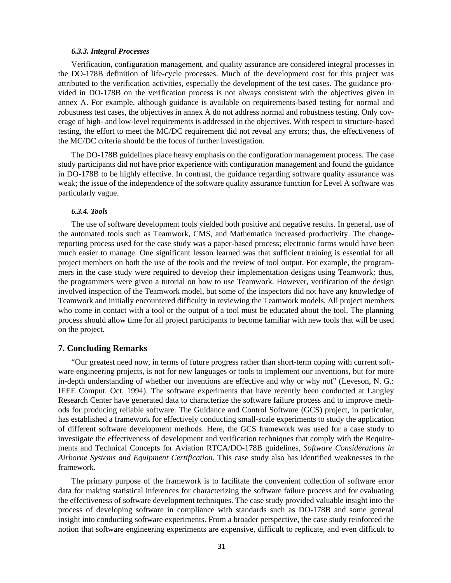#### *6.3.3. Integral Processes*

Verification, configuration management, and quality assurance are considered integral processes in the DO-178B definition of life-cycle processes. Much of the development cost for this project was attributed to the verification activities, especially the development of the test cases. The guidance provided in DO-178B on the verification process is not always consistent with the objectives given in annex A. For example, although guidance is available on requirements-based testing for normal and robustness test cases, the objectives in annex A do not address normal and robustness testing. Only coverage of high- and low-level requirements is addressed in the objectives. With respect to structure-based testing, the effort to meet the MC/DC requirement did not reveal any errors; thus, the effectiveness of the MC/DC criteria should be the focus of further investigation.

The DO-178B guidelines place heavy emphasis on the configuration management process. The case study participants did not have prior experience with configuration management and found the guidance in DO-178B to be highly effective. In contrast, the guidance regarding software quality assurance was weak; the issue of the independence of the software quality assurance function for Level A software was particularly vague.

#### *6.3.4. Tools*

The use of software development tools yielded both positive and negative results. In general, use of the automated tools such as Teamwork, CMS, and Mathematica increased productivity. The changereporting process used for the case study was a paper-based process; electronic forms would have been much easier to manage. One significant lesson learned was that sufficient training is essential for all project members on both the use of the tools and the review of tool output. For example, the programmers in the case study were required to develop their implementation designs using Teamwork*;* thus, the programmers were given a tutorial on how to use Teamwork. However, verification of the design involved inspection of the Teamwork model, but some of the inspectors did not have any knowledge of Teamwork and initially encountered difficulty in reviewing the Teamwork models. All project members who come in contact with a tool or the output of a tool must be educated about the tool. The planning process should allow time for all project participants to become familiar with new tools that will be used on the project.

#### **7. Concluding Remarks**

"Our greatest need now, in terms of future progress rather than short-term coping with current software engineering projects, is not for new languages or tools to implement our inventions, but for more in-depth understanding of whether our inventions are effective and why or why not" (Leveson, N. G.: IEEE Comput. Oct. 1994). The software experiments that have recently been conducted at Langley Research Center have generated data to characterize the software failure process and to improve methods for producing reliable software. The Guidance and Control Software (GCS) project, in particular, has established a framework for effectively conducting small-scale experiments to study the application of different software development methods. Here, the GCS framework was used for a case study to investigate the effectiveness of development and verification techniques that comply with the Requirements and Technical Concepts for Aviation RTCA/DO-178B guidelines, *Software Considerations in Airborne Systems and Equipment Certification*. This case study also has identified weaknesses in the framework.

The primary purpose of the framework is to facilitate the convenient collection of software error data for making statistical inferences for characterizing the software failure process and for evaluating the effectiveness of software development techniques. The case study provided valuable insight into the process of developing software in compliance with standards such as DO-178B and some general insight into conducting software experiments. From a broader perspective, the case study reinforced the notion that software engineering experiments are expensive, difficult to replicate, and even difficult to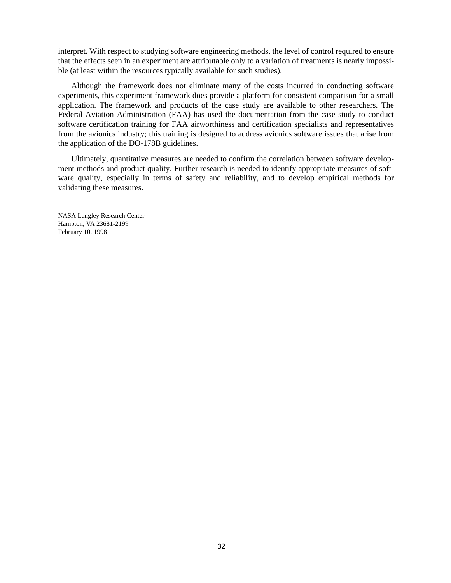interpret. With respect to studying software engineering methods, the level of control required to ensure that the effects seen in an experiment are attributable only to a variation of treatments is nearly impossible (at least within the resources typically available for such studies).

Although the framework does not eliminate many of the costs incurred in conducting software experiments, this experiment framework does provide a platform for consistent comparison for a small application. The framework and products of the case study are available to other researchers. The Federal Aviation Administration (FAA) has used the documentation from the case study to conduct software certification training for FAA airworthiness and certification specialists and representatives from the avionics industry; this training is designed to address avionics software issues that arise from the application of the DO-178B guidelines.

Ultimately, quantitative measures are needed to confirm the correlation between software development methods and product quality. Further research is needed to identify appropriate measures of software quality, especially in terms of safety and reliability, and to develop empirical methods for validating these measures.

NASA Langley Research Center Hampton, VA 23681-2199 February 10, 1998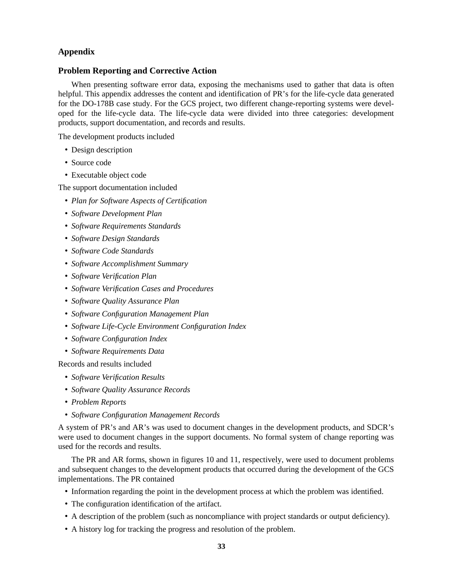### **Appendix**

#### **Problem Reporting and Corrective Action**

When presenting software error data, exposing the mechanisms used to gather that data is often helpful. This appendix addresses the content and identification of PR's for the life-cycle data generated for the DO-178B case study. For the GCS project, two different change-reporting systems were developed for the life-cycle data. The life-cycle data were divided into three categories: development products, support documentation, and records and results.

The development products included

- Design description
- Source code
- Executable object code

The support documentation included

- *Plan for Software Aspects of Certification*
- *Software Development Plan*
- *Software Requirements Standards*
- *Software Design Standards*
- *Software Code Standards*
- *Software Accomplishment Summary*
- *Software Verification Plan*
- *Software Verification Cases and Procedures*
- *Software Quality Assurance Plan*
- *Software Configuration Management Plan*
- *Software Life-Cycle Environment Configuration Index*
- *Software Configuration Index*
- *Software Requirements Data*

Records and results included

- *Software Verification Results*
- *Software Quality Assurance Records*
- *Problem Reports*
- *Software Configuration Management Records*

A system of PR's and AR's was used to document changes in the development products, and SDCR's were used to document changes in the support documents. No formal system of change reporting was used for the records and results.

The PR and AR forms, shown in figures 10 and 11, respectively, were used to document problems and subsequent changes to the development products that occurred during the development of the GCS implementations. The PR contained

- Information regarding the point in the development process at which the problem was identified.
- The configuration identification of the artifact.
- A description of the problem (such as noncompliance with project standards or output deficiency).
- A history log for tracking the progress and resolution of the problem.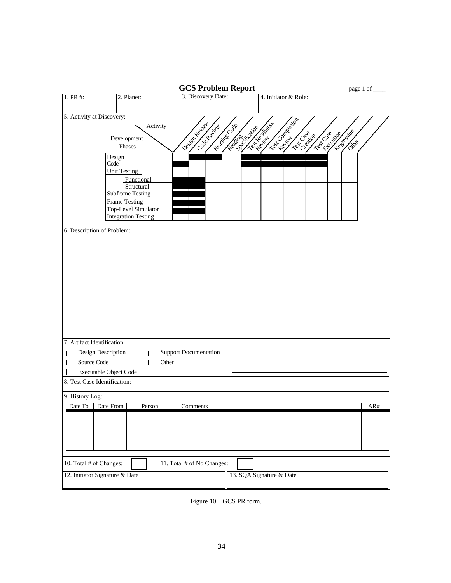|                                                       |                                             | <b>GCS Problem Report</b>                          |                                         | page 1 of                       |
|-------------------------------------------------------|---------------------------------------------|----------------------------------------------------|-----------------------------------------|---------------------------------|
| 1. PR#                                                | 2. Planet:                                  | 3. Discovery Date:                                 | 4. Initiator & Role:                    |                                 |
|                                                       |                                             |                                                    |                                         |                                 |
| 5. Activity at Discovery:                             |                                             |                                                    | Victor Completion                       |                                 |
|                                                       | Activity                                    | Joseph Reciters<br>Year top Code<br>Young Register | Transportation of<br><b>Replacement</b> |                                 |
|                                                       | Development                                 |                                                    |                                         |                                 |
|                                                       | Phases                                      |                                                    | Transferred                             | <b>CENTRAL ASSAULT</b><br>Outer |
|                                                       | Design                                      |                                                    |                                         |                                 |
|                                                       | Code<br><b>Unit Testing</b>                 |                                                    |                                         |                                 |
|                                                       | Functional                                  |                                                    |                                         |                                 |
|                                                       | Structural                                  |                                                    |                                         |                                 |
|                                                       | <b>Subframe Testing</b>                     |                                                    |                                         |                                 |
|                                                       | Frame Testing<br><b>Top-Level Simulator</b> |                                                    |                                         |                                 |
|                                                       | <b>Integration Testing</b>                  |                                                    |                                         |                                 |
|                                                       |                                             |                                                    |                                         |                                 |
| 6. Description of Problem:                            |                                             |                                                    |                                         |                                 |
|                                                       |                                             |                                                    |                                         |                                 |
|                                                       |                                             |                                                    |                                         |                                 |
|                                                       |                                             |                                                    |                                         |                                 |
|                                                       |                                             |                                                    |                                         |                                 |
|                                                       |                                             |                                                    |                                         |                                 |
|                                                       |                                             |                                                    |                                         |                                 |
|                                                       |                                             |                                                    |                                         |                                 |
|                                                       |                                             |                                                    |                                         |                                 |
|                                                       |                                             |                                                    |                                         |                                 |
|                                                       |                                             |                                                    |                                         |                                 |
|                                                       |                                             |                                                    |                                         |                                 |
| 7. Artifact Identification:                           |                                             |                                                    |                                         |                                 |
| Design Description                                    |                                             | <b>Support Documentation</b>                       |                                         |                                 |
| Source Code                                           | Other                                       |                                                    |                                         |                                 |
| Executable Object Code                                |                                             |                                                    |                                         |                                 |
| 8. Test Case Identification:                          |                                             |                                                    |                                         |                                 |
|                                                       |                                             |                                                    |                                         |                                 |
| 9. History Log:                                       |                                             |                                                    |                                         |                                 |
| Date To   Date From                                   | Person                                      | Comments                                           |                                         | AR#                             |
|                                                       |                                             |                                                    |                                         |                                 |
|                                                       |                                             |                                                    |                                         |                                 |
|                                                       |                                             |                                                    |                                         |                                 |
|                                                       |                                             |                                                    |                                         |                                 |
|                                                       |                                             |                                                    |                                         |                                 |
| 10. Total # of Changes:<br>11. Total # of No Changes: |                                             |                                                    |                                         |                                 |
| 12. Initiator Signature & Date                        |                                             |                                                    | 13. SQA Signature & Date                |                                 |
|                                                       |                                             |                                                    |                                         |                                 |

Figure 10. GCS PR form.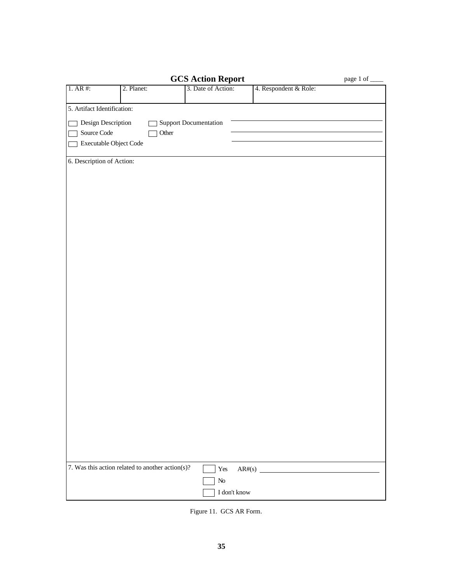|                             |                                                  | <b>GCS Action Report</b>     |                       | page 1 of |
|-----------------------------|--------------------------------------------------|------------------------------|-----------------------|-----------|
| 1. AR #:                    | 2. Planet:                                       | 3. Date of Action:           | 4. Respondent & Role: |           |
|                             |                                                  |                              |                       |           |
| 5. Artifact Identification: |                                                  |                              |                       |           |
| Design Description          |                                                  | <b>Support Documentation</b> |                       |           |
| Source Code                 | Other                                            |                              |                       |           |
| Executable Object Code      |                                                  |                              |                       |           |
|                             |                                                  |                              |                       |           |
| 6. Description of Action:   |                                                  |                              |                       |           |
|                             |                                                  |                              |                       |           |
|                             |                                                  |                              |                       |           |
|                             |                                                  |                              |                       |           |
|                             |                                                  |                              |                       |           |
|                             |                                                  |                              |                       |           |
|                             |                                                  |                              |                       |           |
|                             |                                                  |                              |                       |           |
|                             |                                                  |                              |                       |           |
|                             |                                                  |                              |                       |           |
|                             |                                                  |                              |                       |           |
|                             |                                                  |                              |                       |           |
|                             |                                                  |                              |                       |           |
|                             |                                                  |                              |                       |           |
|                             |                                                  |                              |                       |           |
|                             |                                                  |                              |                       |           |
|                             |                                                  |                              |                       |           |
|                             |                                                  |                              |                       |           |
|                             |                                                  |                              |                       |           |
|                             |                                                  |                              |                       |           |
|                             |                                                  |                              |                       |           |
|                             |                                                  |                              |                       |           |
|                             |                                                  |                              |                       |           |
|                             |                                                  |                              |                       |           |
|                             |                                                  |                              |                       |           |
|                             |                                                  |                              |                       |           |
|                             |                                                  |                              |                       |           |
|                             |                                                  |                              |                       |           |
|                             |                                                  |                              |                       |           |
|                             |                                                  |                              |                       |           |
|                             |                                                  |                              |                       |           |
|                             | 7. Was this action related to another action(s)? | Yes                          |                       |           |
|                             |                                                  | No                           |                       |           |
|                             |                                                  |                              |                       |           |
|                             |                                                  | I don't know                 |                       |           |

Figure 11. GCS AR Form.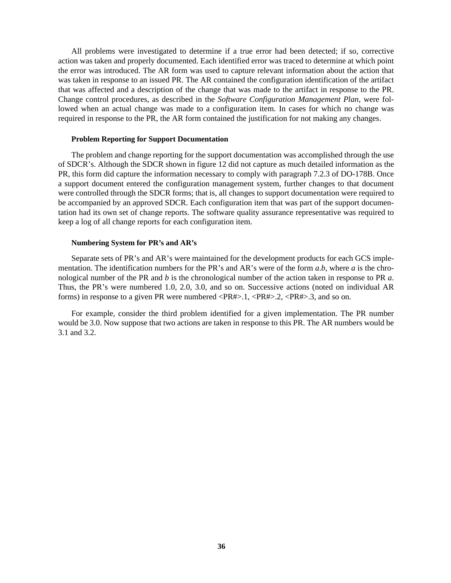All problems were investigated to determine if a true error had been detected; if so, corrective action was taken and properly documented. Each identified error was traced to determine at which point the error was introduced. The AR form was used to capture relevant information about the action that was taken in response to an issued PR. The AR contained the configuration identification of the artifact that was affected and a description of the change that was made to the artifact in response to the PR. Change control procedures, as described in the *Software Configuration Management Plan*, were followed when an actual change was made to a configuration item. In cases for which no change was required in response to the PR, the AR form contained the justification for not making any changes.

#### **Problem Reporting for Support Documentation**

The problem and change reporting for the support documentation was accomplished through the use of SDCR's. Although the SDCR shown in figure 12 did not capture as much detailed information as the PR, this form did capture the information necessary to comply with paragraph 7.2.3 of DO-178B. Once a support document entered the configuration management system, further changes to that document were controlled through the SDCR forms; that is, all changes to support documentation were required to be accompanied by an approved SDCR. Each configuration item that was part of the support documentation had its own set of change reports. The software quality assurance representative was required to keep a log of all change reports for each configuration item.

#### **Numbering System for PR's and AR's**

Separate sets of PR's and AR's were maintained for the development products for each GCS implementation. The identification numbers for the PR's and AR's were of the form *a*.*b*, where *a* is the chronological number of the PR and *b* is the chronological number of the action taken in response to PR *a*. Thus, the PR's were numbered 1.0, 2.0, 3.0, and so on. Successive actions (noted on individual AR forms) in response to a given PR were numbered <PR#>.1, <PR#>.2, <PR#>.3, and so on.

For example, consider the third problem identified for a given implementation. The PR number would be 3.0. Now suppose that two actions are taken in response to this PR. The AR numbers would be 3.1 and 3.2.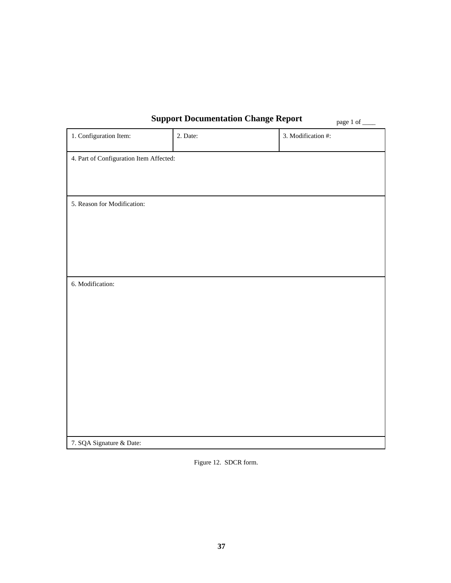## **Support Documentation Change Report**

|                                         |          | page 1 of $\_\_$   |  |  |  |  |
|-----------------------------------------|----------|--------------------|--|--|--|--|
| 1. Configuration Item:                  | 2. Date: | 3. Modification #: |  |  |  |  |
| 4. Part of Configuration Item Affected: |          |                    |  |  |  |  |
|                                         |          |                    |  |  |  |  |
|                                         |          |                    |  |  |  |  |
|                                         |          |                    |  |  |  |  |
| 5. Reason for Modification:             |          |                    |  |  |  |  |
|                                         |          |                    |  |  |  |  |
|                                         |          |                    |  |  |  |  |
|                                         |          |                    |  |  |  |  |
|                                         |          |                    |  |  |  |  |
|                                         |          |                    |  |  |  |  |
|                                         |          |                    |  |  |  |  |
|                                         |          |                    |  |  |  |  |
| 6. Modification:                        |          |                    |  |  |  |  |
|                                         |          |                    |  |  |  |  |
|                                         |          |                    |  |  |  |  |
|                                         |          |                    |  |  |  |  |
|                                         |          |                    |  |  |  |  |
|                                         |          |                    |  |  |  |  |
|                                         |          |                    |  |  |  |  |
|                                         |          |                    |  |  |  |  |
|                                         |          |                    |  |  |  |  |
|                                         |          |                    |  |  |  |  |
|                                         |          |                    |  |  |  |  |
|                                         |          |                    |  |  |  |  |
|                                         |          |                    |  |  |  |  |
|                                         |          |                    |  |  |  |  |
| 7. SQA Signature & Date:                |          |                    |  |  |  |  |

Figure 12. SDCR form.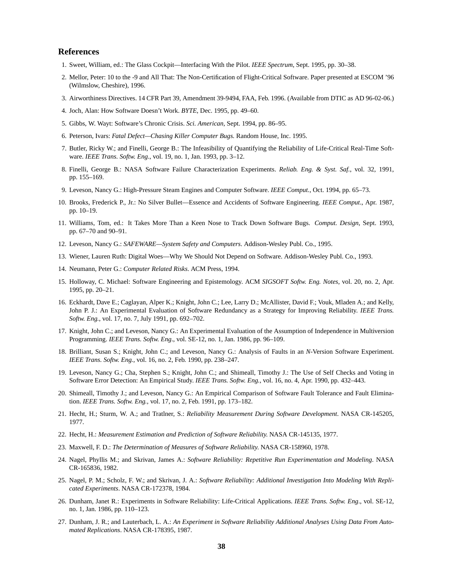#### **References**

- 1. Sweet, William, ed.: The Glass Cockpit—Interfacing With the Pilot. *IEEE Spectrum*, Sept. 1995, pp. 30–38.
- 2. Mellor, Peter: 10 to the -9 and All That: The Non-Certification of Flight-Critical Software. Paper presented at ESCOM '96 (Wilmslow, Cheshire), 1996.
- 3. Airworthiness Directives. 14 CFR Part 39, Amendment 39-9494, FAA, Feb. 1996. (Available from DTIC as AD 96-02-06.)
- 4. Joch, Alan: How Software Doesn't Work. *BYTE*, Dec. 1995, pp. 49–60.
- 5. Gibbs, W. Wayt: Software's Chronic Crisis. *Sci. American*, Sept. 1994, pp. 86–95.
- 6. Peterson, Ivars: *Fatal Defect—Chasing Killer Computer Bugs.* Random House, Inc. 1995.
- 7. Butler, Ricky W.; and Finelli, George B.: The Infeasibility of Quantifying the Reliability of Life-Critical Real-Time Software. *IEEE Trans. Softw. Eng*., vol. 19, no. 1, Jan. 1993, pp. 3–12.
- 8. Finelli, George B.: NASA Software Failure Characterization Experiments. *Reliab. Eng. & Syst. Saf.*, vol. 32, 1991, pp. 155–169.
- 9. Leveson, Nancy G.: High-Pressure Steam Engines and Computer Software. *IEEE Comput.*, Oct. 1994, pp. 65–73.
- 10. Brooks, Frederick P., Jr.: No Silver Bullet—Essence and Accidents of Software Engineering. *IEEE Comput*., Apr. 1987, pp. 10–19.
- 11. Williams, Tom, ed.: It Takes More Than a Keen Nose to Track Down Software Bugs. *Comput. Design*, Sept. 1993, pp. 67–70 and 90–91.
- 12. Leveson, Nancy G.: *SAFEWARE—System Safety and Computers*. Addison-Wesley Publ. Co., 1995.
- 13. Wiener, Lauren Ruth: Digital Woes—Why We Should Not Depend on Software. Addison-Wesley Publ. Co., 1993.
- 14. Neumann, Peter G.: *Computer Related Risks*. ACM Press, 1994.
- 15. Holloway, C. Michael: Software Engineering and Epistemology. ACM *SIGSOFT Softw. Eng. Notes*, vol. 20, no. 2, Apr. 1995, pp. 20–21.
- 16. Eckhardt, Dave E.; Caglayan, Alper K.; Knight, John C.; Lee, Larry D.; McAllister, David F.; Vouk, Mladen A.; and Kelly, John P. J.: An Experimental Evaluation of Software Redundancy as a Strategy for Improving Reliability. *IEEE Trans. Softw. Eng.*, vol. 17, no. 7, July 1991, pp. 692–702.
- 17. Knight, John C.; and Leveson, Nancy G.: An Experimental Evaluation of the Assumption of Independence in Multiversion Programming. *IEEE Trans. Softw. Eng*., vol. SE-12, no. 1, Jan. 1986, pp. 96–109.
- 18. Brilliant, Susan S.; Knight, John C.; and Leveson, Nancy G.: Analysis of Faults in an *N*-Version Software Experiment. *IEEE Trans. Softw. Eng.*, vol. 16, no. 2, Feb. 1990, pp. 238–247.
- 19. Leveson, Nancy G.; Cha, Stephen S.; Knight, John C.; and Shimeall, Timothy J.: The Use of Self Checks and Voting in Software Error Detection: An Empirical Study. *IEEE Trans. Softw. Eng.*, vol. 16, no. 4, Apr. 1990, pp. 432–443.
- 20. Shimeall, Timothy J.; and Leveson, Nancy G.: An Empirical Comparison of Software Fault Tolerance and Fault Elimination. *IEEE Trans. Softw. Eng.,* vol. 17, no. 2, Feb. 1991, pp. 173–182.
- 21. Hecht, H.; Sturm, W. A.; and Tratlner, S.: *Reliability Measurement During Software Development*. NASA CR-145205, 1977.
- 22. Hecht, H.: *Measurement Estimation and Prediction of Software Reliability*. NASA CR-145135, 1977.
- 23. Maxwell, F. D.: *The Determination of Measures of Software Reliability*. NASA CR-158960, 1978.
- 24. Nagel, Phyllis M.; and Skrivan, James A.: *Software Reliability: Repetitive Run Experimentation and Modeling*. NASA CR-165836, 1982.
- 25. Nagel, P. M.; Scholz, F. W.; and Skrivan, J. A.: *Software Reliability: Additional Investigation Into Modeling With Replicated Experiments*. NASA CR-172378, 1984.
- 26. Dunham, Janet R.: Experiments in Software Reliability: Life-Critical Applications. *IEEE Trans. Softw. Eng*., vol. SE-12, no. 1, Jan. 1986, pp. 110–123.
- 27. Dunham, J. R.; and Lauterbach, L. A.: *An Experiment in Software Reliability Additional Analyses Using Data From Automated Replications*. NASA CR-178395, 1987.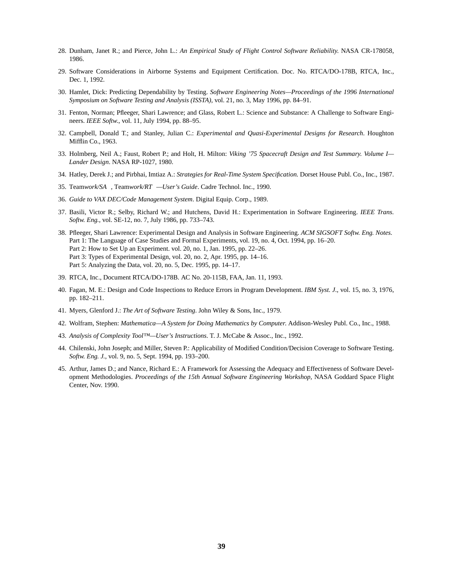- 28. Dunham, Janet R.; and Pierce, John L.: *An Empirical Study of Flight Control Software Reliability*. NASA CR-178058, 1986.
- 29. Software Considerations in Airborne Systems and Equipment Certification. Doc. No. RTCA/DO-178B, RTCA, Inc., Dec. 1, 1992.
- 30. Hamlet, Dick: Predicting Dependability by Testing. *Software Engineering Notes—Proceedings of the 1996 International Symposium on Software Testing and Analysis (ISSTA)*, vol. 21, no. 3, May 1996, pp. 84–91.
- 31. Fenton, Norman; Pfleeger, Shari Lawrence; and Glass, Robert L.: Science and Substance: A Challenge to Software Engineers. *IEEE Softw*., vol. 11, July 1994, pp. 88–95.
- 32. Campbell, Donald T.; and Stanley, Julian C.: *Experimental and Quasi-Experimental Designs for Research*. Houghton Mifflin Co., 1963.
- 33. Holmberg, Neil A.; Faust, Robert P.; and Holt, H. Milton: *Viking '75 Spacecraft Design and Test Summary. Volume I— Lander Design*. NASA RP-1027, 1980.
- 34. Hatley, Derek J.; and Pirbhai, Imtiaz A.: *Strategies for Real-Time System Specification.* Dorset House Publ. Co., Inc., 1987.
- 35. Team*work/SA,* Team*work/RT—User's Guide*. Cadre Technol. Inc., 1990.
- 36. *Guide to VAX DEC/Code Management System*. Digital Equip. Corp., 1989.
- 37. Basili, Victor R.; Selby, Richard W.; and Hutchens, David H.: Experimentation in Software Engineering. *IEEE Trans. Softw. Eng.*, vol. SE-12, no. 7, July 1986, pp. 733–743.
- 38. Pfleeger, Shari Lawrence: Experimental Design and Analysis in Software Engineering. *ACM SIGSOFT Softw. Eng. Notes.* Part 1: The Language of Case Studies and Formal Experiments, vol. 19, no. 4, Oct. 1994, pp. 16–20. Part 2: How to Set Up an Experiment. vol. 20, no. 1, Jan. 1995, pp. 22–26. Part 3: Types of Experimental Design, vol. 20, no. 2, Apr. 1995, pp. 14–16. Part 5: Analyzing the Data, vol. 20, no. 5, Dec. 1995, pp. 14–17.
- 39. RTCA, Inc., Document RTCA/DO-178B. AC No. 20-115B, FAA, Jan. 11, 1993.
- 40. Fagan, M. E.: Design and Code Inspections to Reduce Errors in Program Development. *IBM Syst. J*., vol. 15, no. 3, 1976, pp. 182–211.
- 41. Myers, Glenford J.: *The Art of Software Testing*. John Wiley & Sons, Inc., 1979.
- 42. Wolfram, Stephen: *Mathematica—A System for Doing Mathematics by Computer*. Addison-Wesley Publ. Co., Inc., 1988.
- 43. *Analysis of Complexity Tool™—User's Instructions*. T. J. McCabe & Assoc., Inc., 1992.
- 44. Chilenski, John Joseph; and Miller, Steven P.: Applicability of Modified Condition/Decision Coverage to Software Testing. *Softw. Eng. J.*, vol. 9, no. 5, Sept. 1994, pp. 193–200.
- 45. Arthur, James D.; and Nance, Richard E.: A Framework for Assessing the Adequacy and Effectiveness of Software Development Methodologies. *Proceedings of the 15th Annual Software Engineering Workshop*, NASA Goddard Space Flight Center, Nov. 1990.